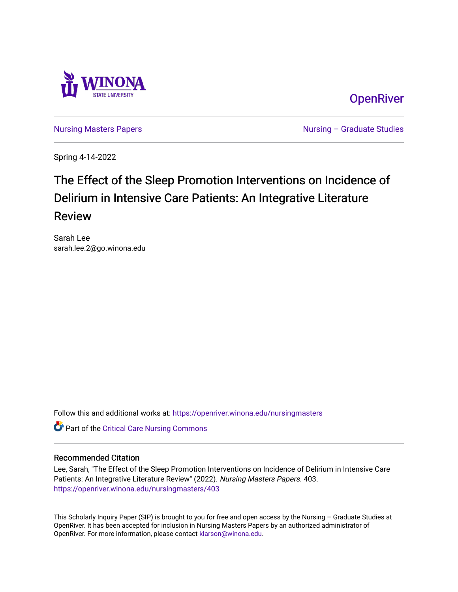

**OpenRiver** 

[Nursing Masters Papers](https://openriver.winona.edu/nursingmasters) **Nursing – Graduate Studies** 

Spring 4-14-2022

# The Effect of the Sleep Promotion Interventions on Incidence of Delirium in Intensive Care Patients: An Integrative Literature Review

Sarah Lee sarah.lee.2@go.winona.edu

Follow this and additional works at: [https://openriver.winona.edu/nursingmasters](https://openriver.winona.edu/nursingmasters?utm_source=openriver.winona.edu%2Fnursingmasters%2F403&utm_medium=PDF&utm_campaign=PDFCoverPages) 

Part of the [Critical Care Nursing Commons](http://network.bepress.com/hgg/discipline/727?utm_source=openriver.winona.edu%2Fnursingmasters%2F403&utm_medium=PDF&utm_campaign=PDFCoverPages)

### Recommended Citation

Lee, Sarah, "The Effect of the Sleep Promotion Interventions on Incidence of Delirium in Intensive Care Patients: An Integrative Literature Review" (2022). Nursing Masters Papers. 403. [https://openriver.winona.edu/nursingmasters/403](https://openriver.winona.edu/nursingmasters/403?utm_source=openriver.winona.edu%2Fnursingmasters%2F403&utm_medium=PDF&utm_campaign=PDFCoverPages) 

This Scholarly Inquiry Paper (SIP) is brought to you for free and open access by the Nursing – Graduate Studies at OpenRiver. It has been accepted for inclusion in Nursing Masters Papers by an authorized administrator of OpenRiver. For more information, please contact [klarson@winona.edu](mailto:klarson@winona.edu).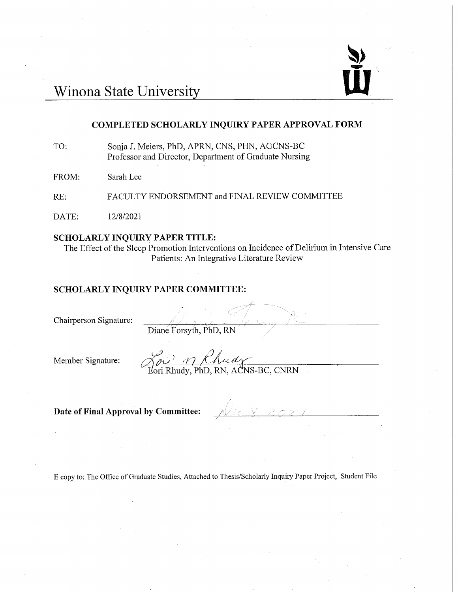

# Winona State University

### **COMPLETED SCHOLARLY INQUIRY PAPER APPROVAL FORM**

Sonja J. Meiers, PhD, APRN, CNS, PHN, AGCNS-BC TO: Professor and Director, Department of Graduate Nursing

FROM: Sarah Lee

RE: FACULTY ENDORSEMENT and FINAL REVIEW COMMITTEE

DATE: 12/8/2021

#### **SCHOLARLY INQUIRY PAPER TITLE:**

The Effect of the Sleep Promotion Interventions on Incidence of Delirium in Intensive Care Patients: An Integrative Literature Review

#### SCHOLARLY INQUIRY PAPER COMMITTEE:

Chairperson Signature:

Diane Forsyth, PhD, RN

Member Signature:

You' in Chudy<br>Lori Rhudy, PhD, RN, ACNS-BC, CNRN

Date of Final Approval by Committee:

E copy to: The Office of Graduate Studies, Attached to Thesis/Scholarly Inquiry Paper Project, Student File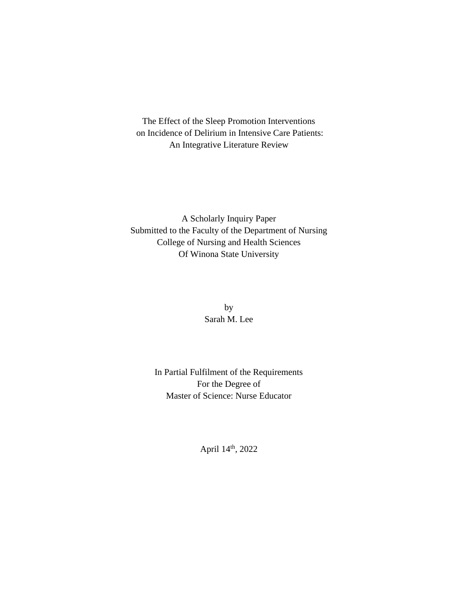The Effect of the Sleep Promotion Interventions on Incidence of Delirium in Intensive Care Patients: An Integrative Literature Review

A Scholarly Inquiry Paper Submitted to the Faculty of the Department of Nursing College of Nursing and Health Sciences Of Winona State University

> by Sarah M. Lee

In Partial Fulfilment of the Requirements For the Degree of Master of Science: Nurse Educator

April 14th, 2022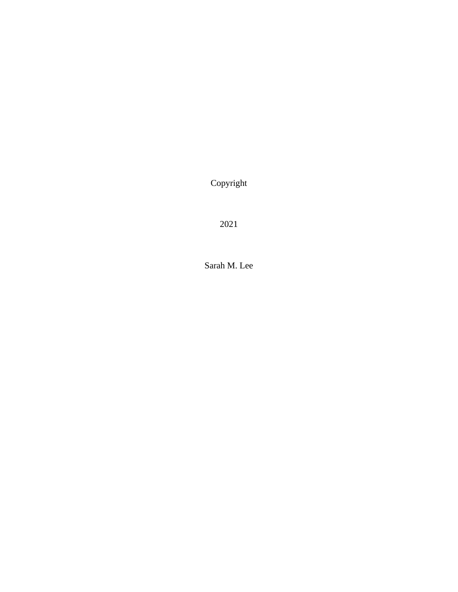Copyright

2021

Sarah M. Lee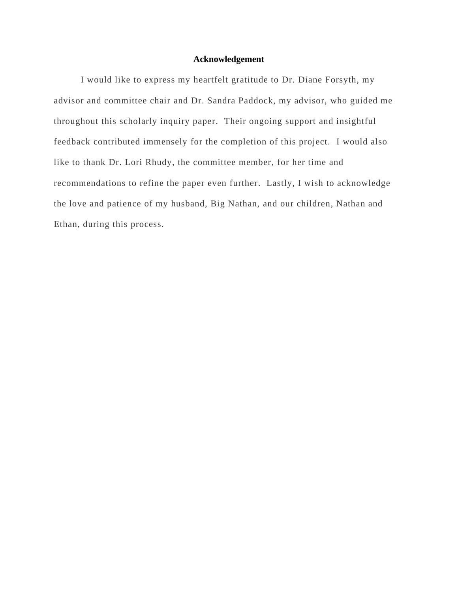### **Acknowledgement**

I would like to express my heartfelt gratitude to Dr. Diane Forsyth, my advisor and committee chair and Dr. Sandra Paddock, my advisor, who guided me throughout this scholarly inquiry paper. Their ongoing support and insightful feedback contributed immensely for the completion of this project. I would also like to thank Dr. Lori Rhudy, the committee member, for her time and recommendations to refine the paper even further. Lastly, I wish to acknowledge the love and patience of my husband, Big Nathan, and our children, Nathan and Ethan, during this process.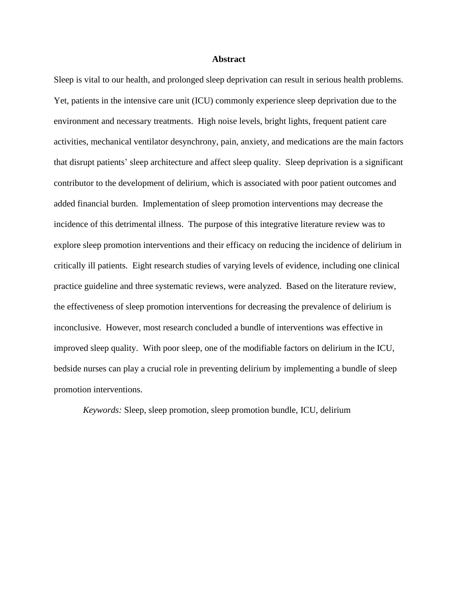#### **Abstract**

Sleep is vital to our health, and prolonged sleep deprivation can result in serious health problems. Yet, patients in the intensive care unit (ICU) commonly experience sleep deprivation due to the environment and necessary treatments. High noise levels, bright lights, frequent patient care activities, mechanical ventilator desynchrony, pain, anxiety, and medications are the main factors that disrupt patients' sleep architecture and affect sleep quality. Sleep deprivation is a significant contributor to the development of delirium, which is associated with poor patient outcomes and added financial burden. Implementation of sleep promotion interventions may decrease the incidence of this detrimental illness. The purpose of this integrative literature review was to explore sleep promotion interventions and their efficacy on reducing the incidence of delirium in critically ill patients. Eight research studies of varying levels of evidence, including one clinical practice guideline and three systematic reviews, were analyzed. Based on the literature review, the effectiveness of sleep promotion interventions for decreasing the prevalence of delirium is inconclusive. However, most research concluded a bundle of interventions was effective in improved sleep quality. With poor sleep, one of the modifiable factors on delirium in the ICU, bedside nurses can play a crucial role in preventing delirium by implementing a bundle of sleep promotion interventions.

*Keywords:* Sleep, sleep promotion, sleep promotion bundle, ICU, delirium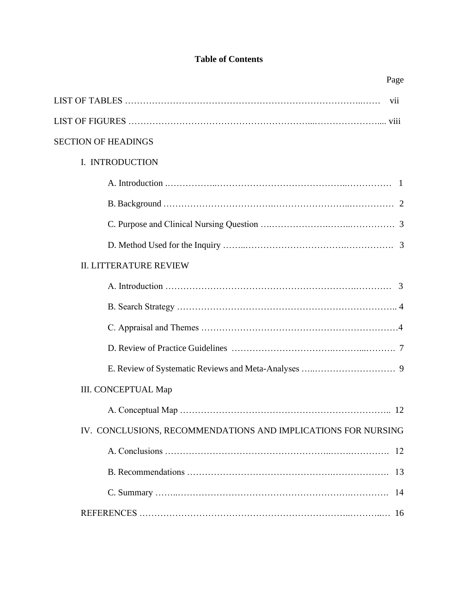# **Table of Contents**

| Page                                                                                                                                                            |
|-----------------------------------------------------------------------------------------------------------------------------------------------------------------|
| vii                                                                                                                                                             |
|                                                                                                                                                                 |
| <b>SECTION OF HEADINGS</b>                                                                                                                                      |
| I. INTRODUCTION                                                                                                                                                 |
| A. Introduction $\ldots$ $\ldots$ $\ldots$ $\ldots$ $\ldots$ $\ldots$ $\ldots$ $\ldots$ $\ldots$ $\ldots$ $\ldots$ $\ldots$ $\ldots$ $\ldots$ $\ldots$ $\ldots$ |
|                                                                                                                                                                 |
|                                                                                                                                                                 |
|                                                                                                                                                                 |
| <b>II. LITTERATURE REVIEW</b>                                                                                                                                   |
|                                                                                                                                                                 |
|                                                                                                                                                                 |
|                                                                                                                                                                 |
|                                                                                                                                                                 |
|                                                                                                                                                                 |
| <b>III. CONCEPTUAL Map</b>                                                                                                                                      |
|                                                                                                                                                                 |
| IV. CONCLUSIONS, RECOMMENDATIONS AND IMPLICATIONS FOR NURSING                                                                                                   |
|                                                                                                                                                                 |
|                                                                                                                                                                 |
|                                                                                                                                                                 |
|                                                                                                                                                                 |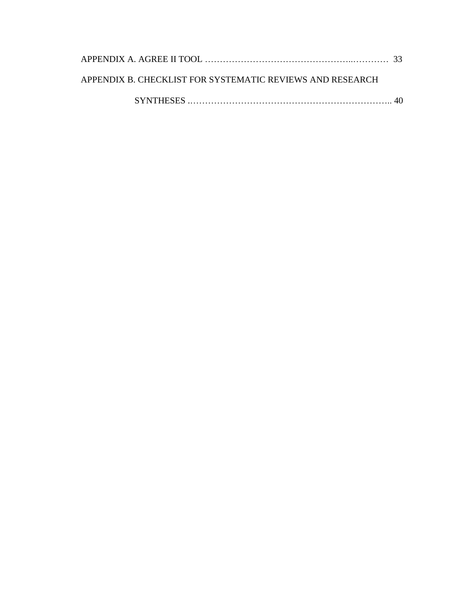| APPENDIX B. CHECKLIST FOR SYSTEMATIC REVIEWS AND RESEARCH |  |
|-----------------------------------------------------------|--|
|                                                           |  |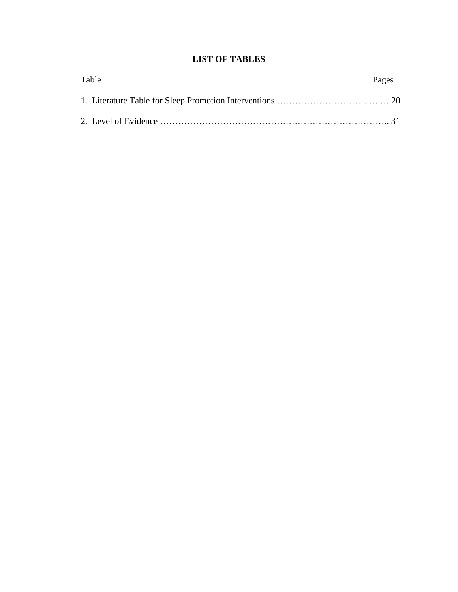# **LIST OF TABLES**

| Table | Pages |
|-------|-------|
|       |       |
|       |       |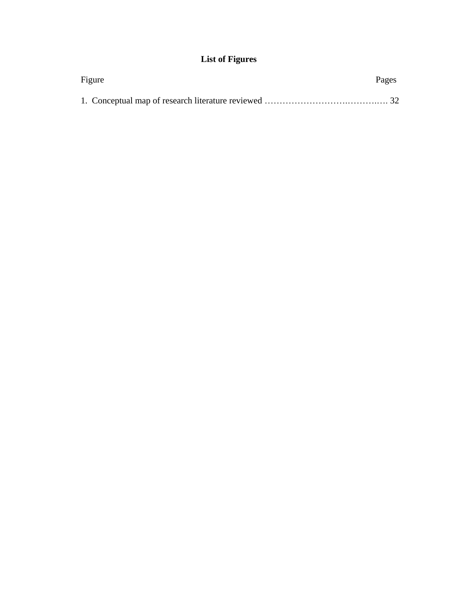# **List of Figures**

| Figure | Pages |
|--------|-------|
|        |       |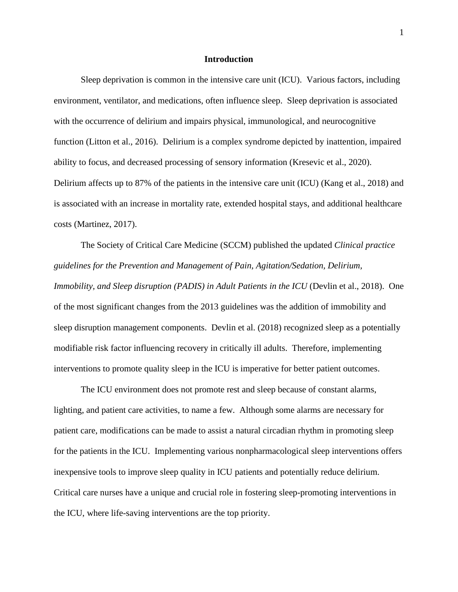#### **Introduction**

Sleep deprivation is common in the intensive care unit (ICU). Various factors, including environment, ventilator, and medications, often influence sleep. Sleep deprivation is associated with the occurrence of delirium and impairs physical, immunological, and neurocognitive function (Litton et al., 2016). Delirium is a complex syndrome depicted by inattention, impaired ability to focus, and decreased processing of sensory information (Kresevic et al., 2020). Delirium affects up to 87% of the patients in the intensive care unit (ICU) (Kang et al., 2018) and is associated with an increase in mortality rate, extended hospital stays, and additional healthcare costs (Martinez, 2017).

The Society of Critical Care Medicine (SCCM) published the updated *Clinical practice guidelines for the Prevention and Management of Pain, Agitation/Sedation, Delirium, Immobility, and Sleep disruption (PADIS) in Adult Patients in the ICU* (Devlin et al., 2018). One of the most significant changes from the 2013 guidelines was the addition of immobility and sleep disruption management components. Devlin et al. (2018) recognized sleep as a potentially modifiable risk factor influencing recovery in critically ill adults. Therefore, implementing interventions to promote quality sleep in the ICU is imperative for better patient outcomes.

The ICU environment does not promote rest and sleep because of constant alarms, lighting, and patient care activities, to name a few. Although some alarms are necessary for patient care, modifications can be made to assist a natural circadian rhythm in promoting sleep for the patients in the ICU. Implementing various nonpharmacological sleep interventions offers inexpensive tools to improve sleep quality in ICU patients and potentially reduce delirium. Critical care nurses have a unique and crucial role in fostering sleep-promoting interventions in the ICU, where life-saving interventions are the top priority.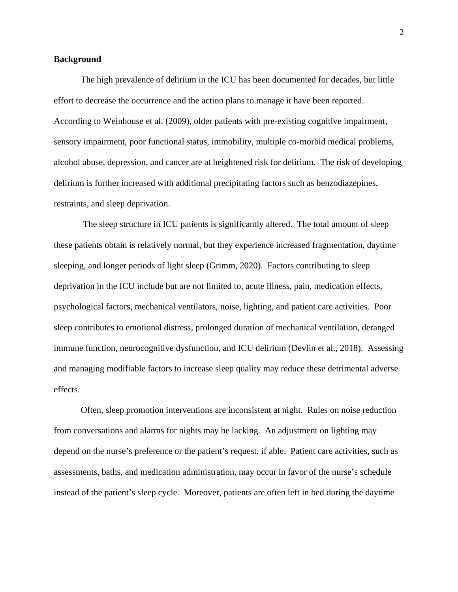#### **Background**

The high prevalence of delirium in the ICU has been documented for decades, but little effort to decrease the occurrence and the action plans to manage it have been reported. According to Weinhouse et al. (2009), older patients with pre-existing cognitive impairment, sensory impairment, poor functional status, immobility, multiple co-morbid medical problems, alcohol abuse, depression, and cancer are at heightened risk for delirium. The risk of developing delirium is further increased with additional precipitating factors such as benzodiazepines, restraints, and sleep deprivation.

The sleep structure in ICU patients is significantly altered. The total amount of sleep these patients obtain is relatively normal, but they experience increased fragmentation, daytime sleeping, and longer periods of light sleep (Grimm, 2020). Factors contributing to sleep deprivation in the ICU include but are not limited to, acute illness, pain, medication effects, psychological factors, mechanical ventilators, noise, lighting, and patient care activities. Poor sleep contributes to emotional distress, prolonged duration of mechanical ventilation, deranged immune function, neurocognitive dysfunction, and ICU delirium (Devlin et al., 2018). Assessing and managing modifiable factors to increase sleep quality may reduce these detrimental adverse effects.

Often, sleep promotion interventions are inconsistent at night. Rules on noise reduction from conversations and alarms for nights may be lacking. An adjustment on lighting may depend on the nurse's preference or the patient's request, if able. Patient care activities, such as assessments, baths, and medication administration, may occur in favor of the nurse's schedule instead of the patient's sleep cycle. Moreover, patients are often left in bed during the daytime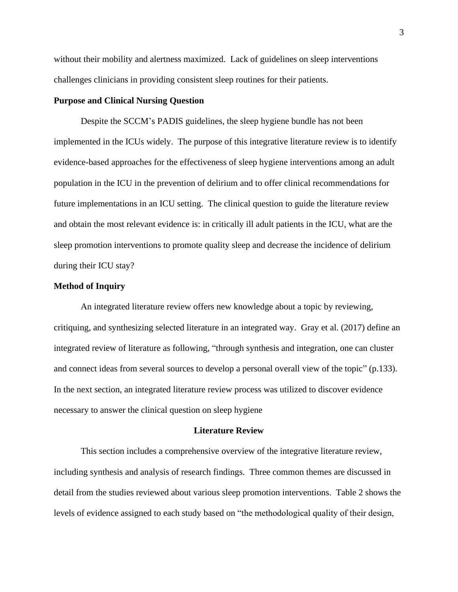without their mobility and alertness maximized. Lack of guidelines on sleep interventions challenges clinicians in providing consistent sleep routines for their patients.

#### **Purpose and Clinical Nursing Question**

Despite the SCCM's PADIS guidelines, the sleep hygiene bundle has not been implemented in the ICUs widely. The purpose of this integrative literature review is to identify evidence-based approaches for the effectiveness of sleep hygiene interventions among an adult population in the ICU in the prevention of delirium and to offer clinical recommendations for future implementations in an ICU setting. The clinical question to guide the literature review and obtain the most relevant evidence is: in critically ill adult patients in the ICU, what are the sleep promotion interventions to promote quality sleep and decrease the incidence of delirium during their ICU stay?

#### **Method of Inquiry**

An integrated literature review offers new knowledge about a topic by reviewing, critiquing, and synthesizing selected literature in an integrated way. Gray et al. (2017) define an integrated review of literature as following, "through synthesis and integration, one can cluster and connect ideas from several sources to develop a personal overall view of the topic" (p.133). In the next section, an integrated literature review process was utilized to discover evidence necessary to answer the clinical question on sleep hygiene

#### **Literature Review**

This section includes a comprehensive overview of the integrative literature review, including synthesis and analysis of research findings. Three common themes are discussed in detail from the studies reviewed about various sleep promotion interventions. Table 2 shows the levels of evidence assigned to each study based on "the methodological quality of their design,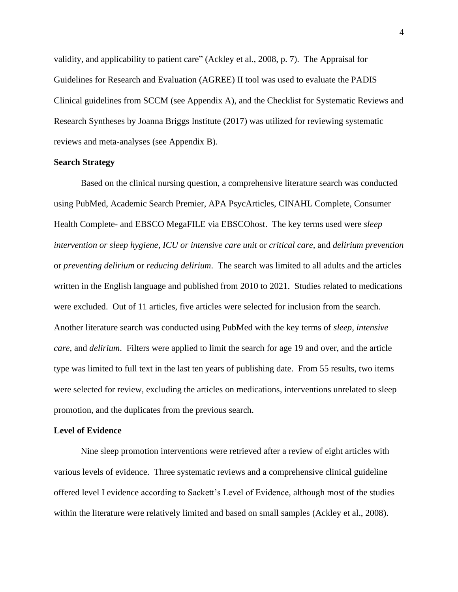validity, and applicability to patient care" (Ackley et al., 2008, p. 7). The Appraisal for Guidelines for Research and Evaluation (AGREE) II tool was used to evaluate the PADIS Clinical guidelines from SCCM (see Appendix A), and the Checklist for Systematic Reviews and Research Syntheses by Joanna Briggs Institute (2017) was utilized for reviewing systematic reviews and meta-analyses (see Appendix B).

#### **Search Strategy**

Based on the clinical nursing question, a comprehensive literature search was conducted using PubMed, Academic Search Premier, APA PsycArticles, CINAHL Complete, Consumer Health Complete- and EBSCO MegaFILE via EBSCOhost. The key terms used were *sleep intervention or sleep hygiene, ICU or intensive care unit* or *critical care,* and *delirium prevention* or *preventing delirium* or *reducing delirium*. The search was limited to all adults and the articles written in the English language and published from 2010 to 2021. Studies related to medications were excluded. Out of 11 articles, five articles were selected for inclusion from the search. Another literature search was conducted using PubMed with the key terms of *sleep, intensive care,* and *delirium*. Filters were applied to limit the search for age 19 and over, and the article type was limited to full text in the last ten years of publishing date. From 55 results, two items were selected for review, excluding the articles on medications, interventions unrelated to sleep promotion, and the duplicates from the previous search.

#### **Level of Evidence**

Nine sleep promotion interventions were retrieved after a review of eight articles with various levels of evidence. Three systematic reviews and a comprehensive clinical guideline offered level I evidence according to Sackett's Level of Evidence, although most of the studies within the literature were relatively limited and based on small samples (Ackley et al., 2008).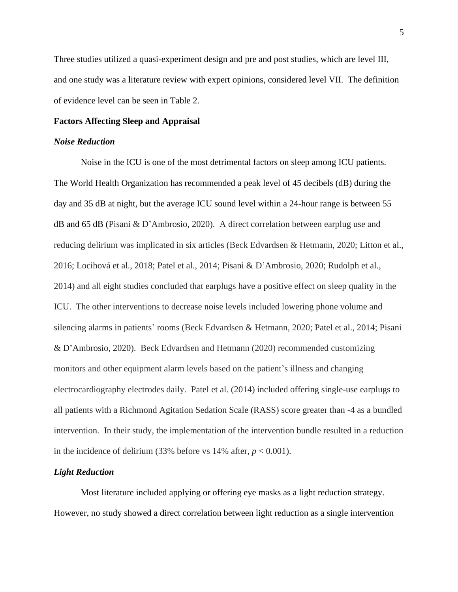Three studies utilized a quasi-experiment design and pre and post studies, which are level III, and one study was a literature review with expert opinions, considered level VII. The definition of evidence level can be seen in Table 2.

#### **Factors Affecting Sleep and Appraisal**

#### *Noise Reduction*

Noise in the ICU is one of the most detrimental factors on sleep among ICU patients. The World Health Organization has recommended a peak level of 45 decibels (dB) during the day and 35 dB at night, but the average ICU sound level within a 24-hour range is between 55 dB and 65 dB (Pisani & D'Ambrosio, 2020). A direct correlation between earplug use and reducing delirium was implicated in six articles (Beck Edvardsen & Hetmann, 2020; Litton et al., 2016; Locihová et al., 2018; Patel et al., 2014; Pisani & D'Ambrosio, 2020; Rudolph et al., 2014) and all eight studies concluded that earplugs have a positive effect on sleep quality in the ICU. The other interventions to decrease noise levels included lowering phone volume and silencing alarms in patients' rooms (Beck Edvardsen & Hetmann, 2020; Patel et al., 2014; Pisani & D'Ambrosio, 2020). Beck Edvardsen and Hetmann (2020) recommended customizing monitors and other equipment alarm levels based on the patient's illness and changing electrocardiography electrodes daily. Patel et al. (2014) included offering single-use earplugs to all patients with a Richmond Agitation Sedation Scale (RASS) score greater than -4 as a bundled intervention. In their study, the implementation of the intervention bundle resulted in a reduction in the incidence of delirium  $(33\% \text{ before vs } 14\% \text{ after, } p < 0.001)$ .

#### *Light Reduction*

Most literature included applying or offering eye masks as a light reduction strategy. However, no study showed a direct correlation between light reduction as a single intervention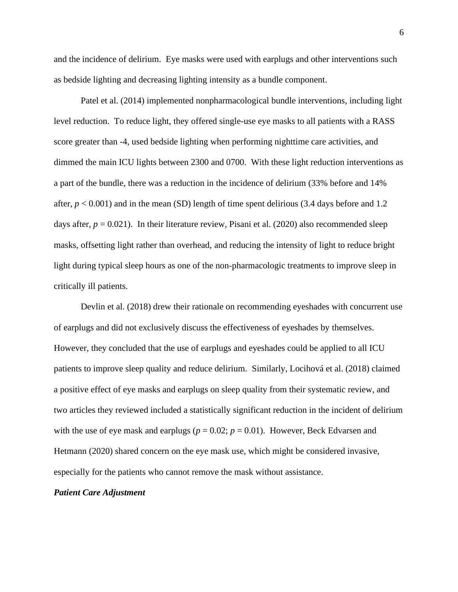and the incidence of delirium. Eye masks were used with earplugs and other interventions such as bedside lighting and decreasing lighting intensity as a bundle component.

Patel et al. (2014) implemented nonpharmacological bundle interventions, including light level reduction. To reduce light, they offered single-use eye masks to all patients with a RASS score greater than -4, used bedside lighting when performing nighttime care activities, and dimmed the main ICU lights between 2300 and 0700. With these light reduction interventions as a part of the bundle, there was a reduction in the incidence of delirium (33% before and 14% after,  $p < 0.001$ ) and in the mean (SD) length of time spent delirious (3.4 days before and 1.2 days after,  $p = 0.021$ ). In their literature review, Pisani et al. (2020) also recommended sleep masks, offsetting light rather than overhead, and reducing the intensity of light to reduce bright light during typical sleep hours as one of the non-pharmacologic treatments to improve sleep in critically ill patients.

Devlin et al. (2018) drew their rationale on recommending eyeshades with concurrent use of earplugs and did not exclusively discuss the effectiveness of eyeshades by themselves. However, they concluded that the use of earplugs and eyeshades could be applied to all ICU patients to improve sleep quality and reduce delirium. Similarly, Locihová et al. (2018) claimed a positive effect of eye masks and earplugs on sleep quality from their systematic review, and two articles they reviewed included a statistically significant reduction in the incident of delirium with the use of eye mask and earplugs ( $p = 0.02$ ;  $p = 0.01$ ). However, Beck Edvarsen and Hetmann (2020) shared concern on the eye mask use, which might be considered invasive, especially for the patients who cannot remove the mask without assistance.

#### *Patient Care Adjustment*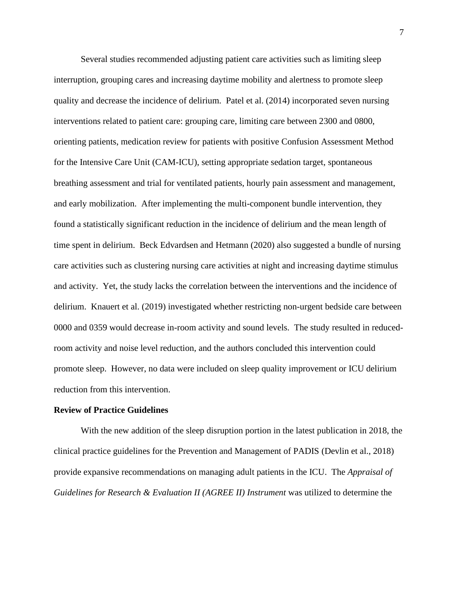Several studies recommended adjusting patient care activities such as limiting sleep interruption, grouping cares and increasing daytime mobility and alertness to promote sleep quality and decrease the incidence of delirium. Patel et al. (2014) incorporated seven nursing interventions related to patient care: grouping care, limiting care between 2300 and 0800, orienting patients, medication review for patients with positive Confusion Assessment Method for the Intensive Care Unit (CAM-ICU), setting appropriate sedation target, spontaneous breathing assessment and trial for ventilated patients, hourly pain assessment and management, and early mobilization. After implementing the multi-component bundle intervention, they found a statistically significant reduction in the incidence of delirium and the mean length of time spent in delirium. Beck Edvardsen and Hetmann (2020) also suggested a bundle of nursing care activities such as clustering nursing care activities at night and increasing daytime stimulus and activity. Yet, the study lacks the correlation between the interventions and the incidence of delirium. Knauert et al. (2019) investigated whether restricting non-urgent bedside care between 0000 and 0359 would decrease in-room activity and sound levels. The study resulted in reducedroom activity and noise level reduction, and the authors concluded this intervention could promote sleep. However, no data were included on sleep quality improvement or ICU delirium reduction from this intervention.

#### **Review of Practice Guidelines**

With the new addition of the sleep disruption portion in the latest publication in 2018, the clinical practice guidelines for the Prevention and Management of PADIS (Devlin et al., 2018) provide expansive recommendations on managing adult patients in the ICU. The *Appraisal of Guidelines for Research & Evaluation II (AGREE II) Instrument* was utilized to determine the

7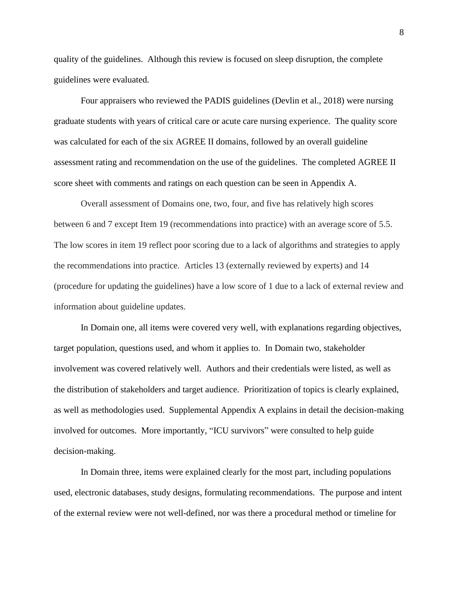quality of the guidelines. Although this review is focused on sleep disruption, the complete guidelines were evaluated.

Four appraisers who reviewed the PADIS guidelines (Devlin et al., 2018) were nursing graduate students with years of critical care or acute care nursing experience. The quality score was calculated for each of the six AGREE II domains, followed by an overall guideline assessment rating and recommendation on the use of the guidelines. The completed AGREE II score sheet with comments and ratings on each question can be seen in Appendix A.

Overall assessment of Domains one, two, four, and five has relatively high scores between 6 and 7 except Item 19 (recommendations into practice) with an average score of 5.5. The low scores in item 19 reflect poor scoring due to a lack of algorithms and strategies to apply the recommendations into practice. Articles 13 (externally reviewed by experts) and 14 (procedure for updating the guidelines) have a low score of 1 due to a lack of external review and information about guideline updates.

In Domain one, all items were covered very well, with explanations regarding objectives, target population, questions used, and whom it applies to. In Domain two, stakeholder involvement was covered relatively well. Authors and their credentials were listed, as well as the distribution of stakeholders and target audience. Prioritization of topics is clearly explained, as well as methodologies used. Supplemental Appendix A explains in detail the decision-making involved for outcomes. More importantly, "ICU survivors" were consulted to help guide decision-making.

In Domain three, items were explained clearly for the most part, including populations used, electronic databases, study designs, formulating recommendations. The purpose and intent of the external review were not well-defined, nor was there a procedural method or timeline for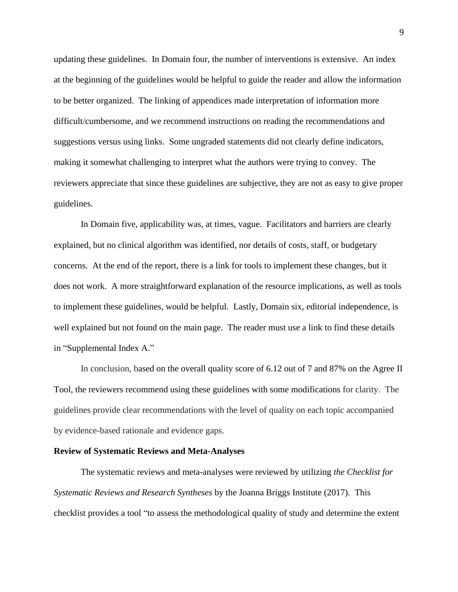updating these guidelines. In Domain four, the number of interventions is extensive. An index at the beginning of the guidelines would be helpful to guide the reader and allow the information to be better organized. The linking of appendices made interpretation of information more difficult/cumbersome, and we recommend instructions on reading the recommendations and suggestions versus using links. Some ungraded statements did not clearly define indicators, making it somewhat challenging to interpret what the authors were trying to convey. The reviewers appreciate that since these guidelines are subjective, they are not as easy to give proper guidelines.

In Domain five, applicability was, at times, vague. Facilitators and barriers are clearly explained, but no clinical algorithm was identified, nor details of costs, staff, or budgetary concerns. At the end of the report, there is a link for tools to implement these changes, but it does not work. A more straightforward explanation of the resource implications, as well as tools to implement these guidelines, would be helpful. Lastly, Domain six, editorial independence, is well explained but not found on the main page. The reader must use a link to find these details in "Supplemental Index A."

In conclusion, based on the overall quality score of 6.12 out of 7 and 87% on the Agree II Tool, the reviewers recommend using these guidelines with some modifications for clarity. The guidelines provide clear recommendations with the level of quality on each topic accompanied by evidence-based rationale and evidence gaps.

#### **Review of Systematic Reviews and Meta-Analyses**

The systematic reviews and meta-analyses were reviewed by utilizing *the Checklist for Systematic Reviews and Research Syntheses* by the Joanna Briggs Institute (2017). This checklist provides a tool "to assess the methodological quality of study and determine the extent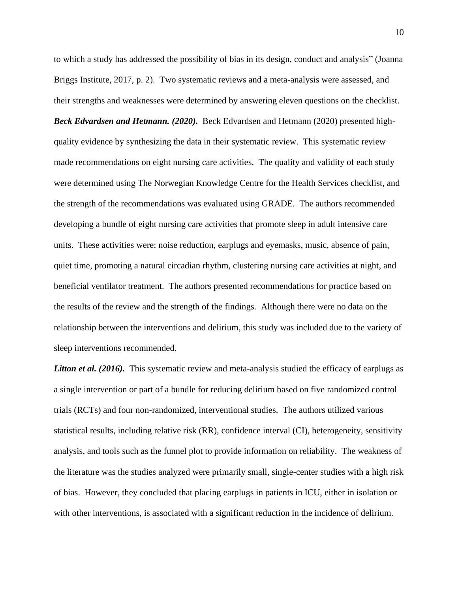to which a study has addressed the possibility of bias in its design, conduct and analysis" (Joanna Briggs Institute, 2017, p. 2). Two systematic reviews and a meta-analysis were assessed, and their strengths and weaknesses were determined by answering eleven questions on the checklist.

*Beck Edvardsen and Hetmann. (2020).* Beck Edvardsen and Hetmann (2020) presented highquality evidence by synthesizing the data in their systematic review. This systematic review made recommendations on eight nursing care activities. The quality and validity of each study were determined using The Norwegian Knowledge Centre for the Health Services checklist, and the strength of the recommendations was evaluated using GRADE. The authors recommended developing a bundle of eight nursing care activities that promote sleep in adult intensive care units. These activities were: noise reduction, earplugs and eyemasks, music, absence of pain, quiet time, promoting a natural circadian rhythm, clustering nursing care activities at night, and beneficial ventilator treatment. The authors presented recommendations for practice based on the results of the review and the strength of the findings. Although there were no data on the relationship between the interventions and delirium, this study was included due to the variety of sleep interventions recommended.

*Litton et al.* (2016). This systematic review and meta-analysis studied the efficacy of earplugs as a single intervention or part of a bundle for reducing delirium based on five randomized control trials (RCTs) and four non-randomized, interventional studies. The authors utilized various statistical results, including relative risk (RR), confidence interval (CI), heterogeneity, sensitivity analysis, and tools such as the funnel plot to provide information on reliability. The weakness of the literature was the studies analyzed were primarily small, single-center studies with a high risk of bias. However, they concluded that placing earplugs in patients in ICU, either in isolation or with other interventions, is associated with a significant reduction in the incidence of delirium.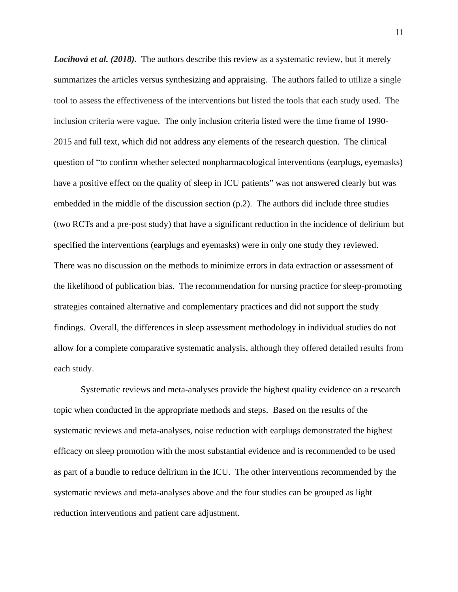*Locihová et al.* (2018). The authors describe this review as a systematic review, but it merely summarizes the articles versus synthesizing and appraising. The authors failed to utilize a single tool to assess the effectiveness of the interventions but listed the tools that each study used. The inclusion criteria were vague. The only inclusion criteria listed were the time frame of 1990- 2015 and full text, which did not address any elements of the research question. The clinical question of "to confirm whether selected nonpharmacological interventions (earplugs, eyemasks) have a positive effect on the quality of sleep in ICU patients" was not answered clearly but was embedded in the middle of the discussion section (p.2). The authors did include three studies (two RCTs and a pre-post study) that have a significant reduction in the incidence of delirium but specified the interventions (earplugs and eyemasks) were in only one study they reviewed. There was no discussion on the methods to minimize errors in data extraction or assessment of the likelihood of publication bias. The recommendation for nursing practice for sleep-promoting strategies contained alternative and complementary practices and did not support the study findings. Overall, the differences in sleep assessment methodology in individual studies do not allow for a complete comparative systematic analysis, although they offered detailed results from each study.

Systematic reviews and meta-analyses provide the highest quality evidence on a research topic when conducted in the appropriate methods and steps. Based on the results of the systematic reviews and meta-analyses, noise reduction with earplugs demonstrated the highest efficacy on sleep promotion with the most substantial evidence and is recommended to be used as part of a bundle to reduce delirium in the ICU. The other interventions recommended by the systematic reviews and meta-analyses above and the four studies can be grouped as light reduction interventions and patient care adjustment.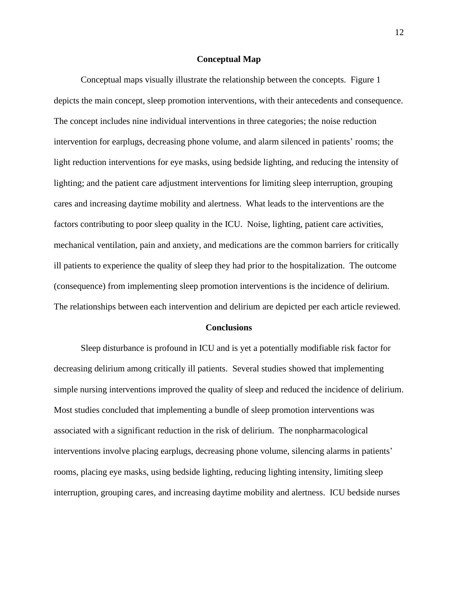#### **Conceptual Map**

Conceptual maps visually illustrate the relationship between the concepts. Figure 1 depicts the main concept, sleep promotion interventions, with their antecedents and consequence. The concept includes nine individual interventions in three categories; the noise reduction intervention for earplugs, decreasing phone volume, and alarm silenced in patients' rooms; the light reduction interventions for eye masks, using bedside lighting, and reducing the intensity of lighting; and the patient care adjustment interventions for limiting sleep interruption, grouping cares and increasing daytime mobility and alertness. What leads to the interventions are the factors contributing to poor sleep quality in the ICU. Noise, lighting, patient care activities, mechanical ventilation, pain and anxiety, and medications are the common barriers for critically ill patients to experience the quality of sleep they had prior to the hospitalization. The outcome (consequence) from implementing sleep promotion interventions is the incidence of delirium. The relationships between each intervention and delirium are depicted per each article reviewed.

#### **Conclusions**

Sleep disturbance is profound in ICU and is yet a potentially modifiable risk factor for decreasing delirium among critically ill patients. Several studies showed that implementing simple nursing interventions improved the quality of sleep and reduced the incidence of delirium. Most studies concluded that implementing a bundle of sleep promotion interventions was associated with a significant reduction in the risk of delirium. The nonpharmacological interventions involve placing earplugs, decreasing phone volume, silencing alarms in patients' rooms, placing eye masks, using bedside lighting, reducing lighting intensity, limiting sleep interruption, grouping cares, and increasing daytime mobility and alertness. ICU bedside nurses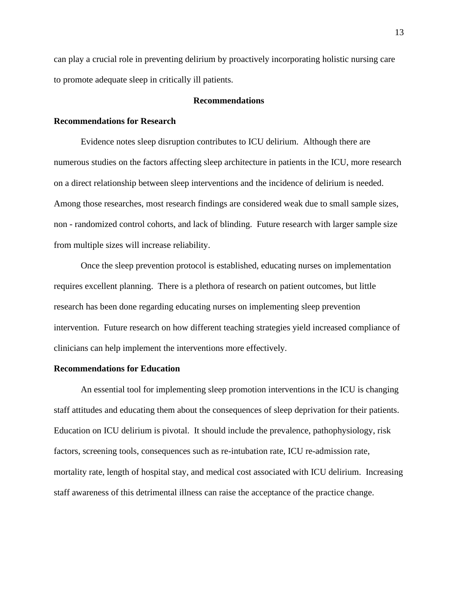can play a crucial role in preventing delirium by proactively incorporating holistic nursing care to promote adequate sleep in critically ill patients.

#### **Recommendations**

#### **Recommendations for Research**

Evidence notes sleep disruption contributes to ICU delirium. Although there are numerous studies on the factors affecting sleep architecture in patients in the ICU, more research on a direct relationship between sleep interventions and the incidence of delirium is needed. Among those researches, most research findings are considered weak due to small sample sizes, non - randomized control cohorts, and lack of blinding. Future research with larger sample size from multiple sizes will increase reliability.

Once the sleep prevention protocol is established, educating nurses on implementation requires excellent planning. There is a plethora of research on patient outcomes, but little research has been done regarding educating nurses on implementing sleep prevention intervention. Future research on how different teaching strategies yield increased compliance of clinicians can help implement the interventions more effectively.

#### **Recommendations for Education**

An essential tool for implementing sleep promotion interventions in the ICU is changing staff attitudes and educating them about the consequences of sleep deprivation for their patients. Education on ICU delirium is pivotal. It should include the prevalence, pathophysiology, risk factors, screening tools, consequences such as re-intubation rate, ICU re-admission rate, mortality rate, length of hospital stay, and medical cost associated with ICU delirium. Increasing staff awareness of this detrimental illness can raise the acceptance of the practice change.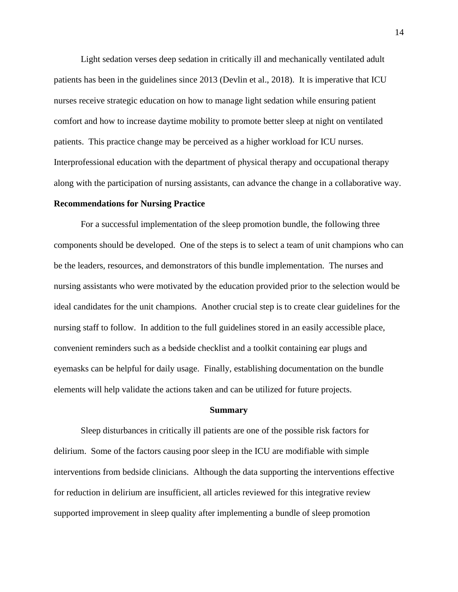Light sedation verses deep sedation in critically ill and mechanically ventilated adult patients has been in the guidelines since 2013 (Devlin et al., 2018). It is imperative that ICU nurses receive strategic education on how to manage light sedation while ensuring patient comfort and how to increase daytime mobility to promote better sleep at night on ventilated patients. This practice change may be perceived as a higher workload for ICU nurses. Interprofessional education with the department of physical therapy and occupational therapy along with the participation of nursing assistants, can advance the change in a collaborative way.

#### **Recommendations for Nursing Practice**

For a successful implementation of the sleep promotion bundle, the following three components should be developed. One of the steps is to select a team of unit champions who can be the leaders, resources, and demonstrators of this bundle implementation. The nurses and nursing assistants who were motivated by the education provided prior to the selection would be ideal candidates for the unit champions. Another crucial step is to create clear guidelines for the nursing staff to follow. In addition to the full guidelines stored in an easily accessible place, convenient reminders such as a bedside checklist and a toolkit containing ear plugs and eyemasks can be helpful for daily usage. Finally, establishing documentation on the bundle elements will help validate the actions taken and can be utilized for future projects.

#### **Summary**

Sleep disturbances in critically ill patients are one of the possible risk factors for delirium. Some of the factors causing poor sleep in the ICU are modifiable with simple interventions from bedside clinicians. Although the data supporting the interventions effective for reduction in delirium are insufficient, all articles reviewed for this integrative review supported improvement in sleep quality after implementing a bundle of sleep promotion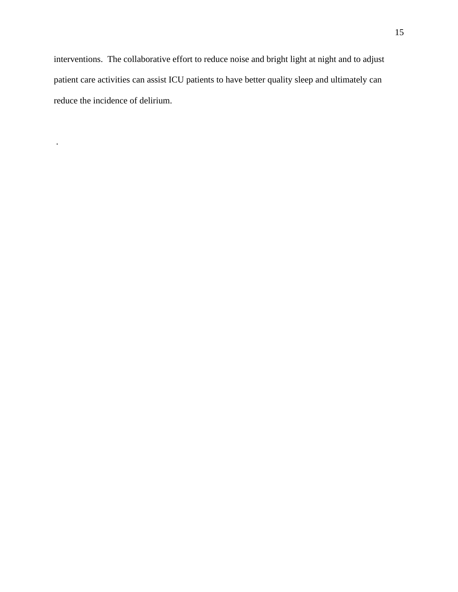interventions. The collaborative effort to reduce noise and bright light at night and to adjust patient care activities can assist ICU patients to have better quality sleep and ultimately can reduce the incidence of delirium.

.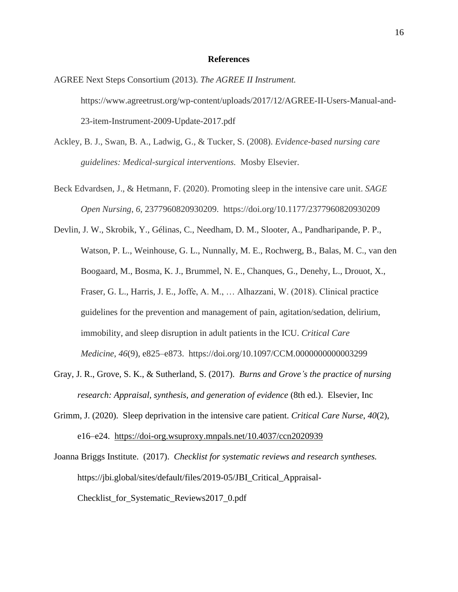#### **References**

AGREE Next Steps Consortium (2013). *The AGREE II Instrument.* https://www.agreetrust.org/wp-content/uploads/2017/12/AGREE-II-Users-Manual-and-23-item-Instrument-2009-Update-2017.pdf

- Ackley, B. J., Swan, B. A., Ladwig, G., & Tucker, S. (2008). *Evidence-based nursing care guidelines: Medical-surgical interventions.* Mosby Elsevier.
- Beck Edvardsen, J., & Hetmann, F. (2020). Promoting sleep in the intensive care unit. *SAGE Open Nursing*, *6*, 2377960820930209. https://doi.org/10.1177/2377960820930209

Devlin, J. W., Skrobik, Y., Gélinas, C., Needham, D. M., Slooter, A., Pandharipande, P. P., Watson, P. L., Weinhouse, G. L., Nunnally, M. E., Rochwerg, B., Balas, M. C., van den Boogaard, M., Bosma, K. J., Brummel, N. E., Chanques, G., Denehy, L., Drouot, X., Fraser, G. L., Harris, J. E., Joffe, A. M., … Alhazzani, W. (2018). Clinical practice guidelines for the prevention and management of pain, agitation/sedation, delirium, immobility, and sleep disruption in adult patients in the ICU. *Critical Care Medicine*, *46*(9), e825–e873. https://doi.org/10.1097/CCM.0000000000003299

- Gray, J. R., Grove, S. K., & Sutherland, S. (2017). *Burns and Grove's the practice of nursing research: Appraisal, synthesis, and generation of evidence* (8th ed.). Elsevier, Inc
- Grimm, J. (2020). Sleep deprivation in the intensive care patient. *Critical Care Nurse*, *40*(2), e16–e24. <https://doi-org.wsuproxy.mnpals.net/10.4037/ccn2020939>

Joanna Briggs Institute. (2017). *Checklist for systematic reviews and research syntheses.* https://jbi.global/sites/default/files/2019-05/JBI\_Critical\_Appraisal-Checklist for Systematic Reviews2017 0.pdf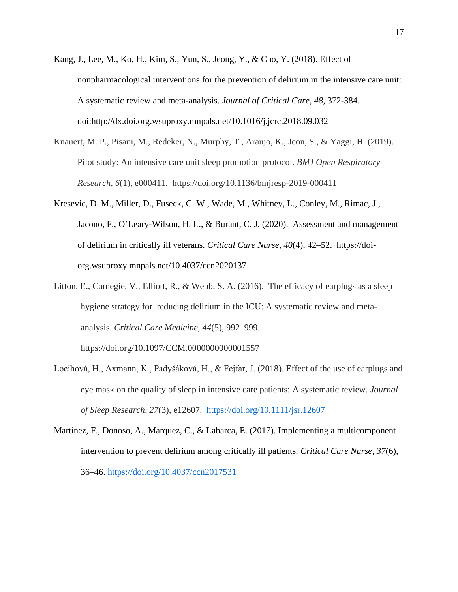- Kang, J., Lee, M., Ko, H., Kim, S., Yun, S., Jeong, Y., & Cho, Y. (2018). Effect of nonpharmacological interventions for the prevention of delirium in the intensive care unit: A systematic review and meta-analysis. *Journal of Critical Care, 48*, 372-384. doi:http://dx.doi.org.wsuproxy.mnpals.net/10.1016/j.jcrc.2018.09.032
- Knauert, M. P., Pisani, M., Redeker, N., Murphy, T., Araujo, K., Jeon, S., & Yaggi, H. (2019). Pilot study: An intensive care unit sleep promotion protocol. *BMJ Open Respiratory Research*, *6*(1), e000411. https://doi.org/10.1136/bmjresp-2019-000411
- Kresevic, D. M., Miller, D., Fuseck, C. W., Wade, M., Whitney, L., Conley, M., Rimac, J., Jacono, F., O'Leary-Wilson, H. L., & Burant, C. J. (2020). Assessment and management of delirium in critically ill veterans. *Critical Care Nurse, 40*(4), 42–52. [https://doi](https://doi-org.wsuproxy.mnpals.net/10.4037/ccn2020137)[org.wsuproxy.mnpals.net/10.4037/ccn2020137](https://doi-org.wsuproxy.mnpals.net/10.4037/ccn2020137)
- Litton, E., Carnegie, V., Elliott, R., & Webb, S. A. (2016). The efficacy of earplugs as a sleep hygiene strategy for reducing delirium in the ICU: A systematic review and metaanalysis. *Critical Care Medicine*, *44*(5), 992–999.

https://doi.org/10.1097/CCM.0000000000001557

- Locihová, H., Axmann, K., Padyšáková, H., & Fejfar, J. (2018). Effect of the use of earplugs and eye mask on the quality of sleep in intensive care patients: A systematic review. *Journal of Sleep Research*, *27*(3), e12607. <https://doi.org/10.1111/jsr.12607>
- Martínez, F., Donoso, A., Marquez, C., & Labarca, E. (2017). Implementing a multicomponent intervention to prevent delirium among critically ill patients. *Critical Care Nurse, 37*(6), 36–46.<https://doi.org/10.4037/ccn2017531>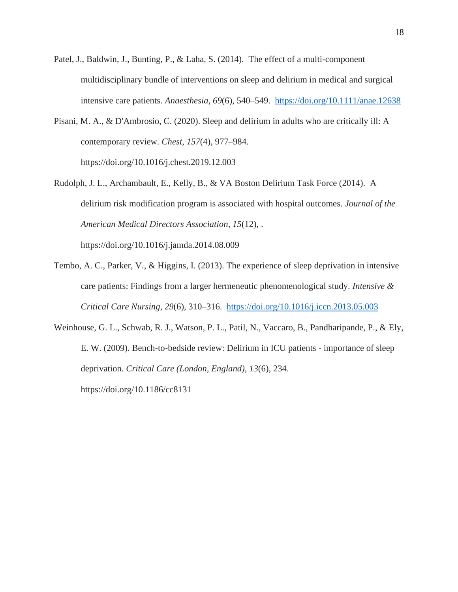- Patel, J., Baldwin, J., Bunting, P., & Laha, S. (2014). The effect of a multi-component multidisciplinary bundle of interventions on sleep and delirium in medical and surgical intensive care patients. *Anaesthesia*, *69*(6), 540–549. <https://doi.org/10.1111/anae.12638>
- Pisani, M. A., & D'Ambrosio, C. (2020). Sleep and delirium in adults who are critically ill: A contemporary review. *Chest*, *157*(4), 977–984. https://doi.org/10.1016/j.chest.2019.12.003
- Rudolph, J. L., Archambault, E., Kelly, B., & VA Boston Delirium Task Force (2014). A delirium risk modification program is associated with hospital outcomes. *Journal of the American Medical Directors Association*, *15*(12), . https://doi.org/10.1016/j.jamda.2014.08.009

Tembo, A. C., Parker, V., & Higgins, I. (2013). The experience of sleep deprivation in intensive care patients: Findings from a larger hermeneutic phenomenological study. *Intensive & Critical Care Nursing*, *29*(6), 310–316. <https://doi.org/10.1016/j.iccn.2013.05.003>

Weinhouse, G. L., Schwab, R. J., Watson, P. L., Patil, N., Vaccaro, B., Pandharipande, P., & Ely, E. W. (2009). Bench-to-bedside review: Delirium in ICU patients - importance of sleep deprivation. *Critical Care (London, England)*, *13*(6), 234. https://doi.org/10.1186/cc8131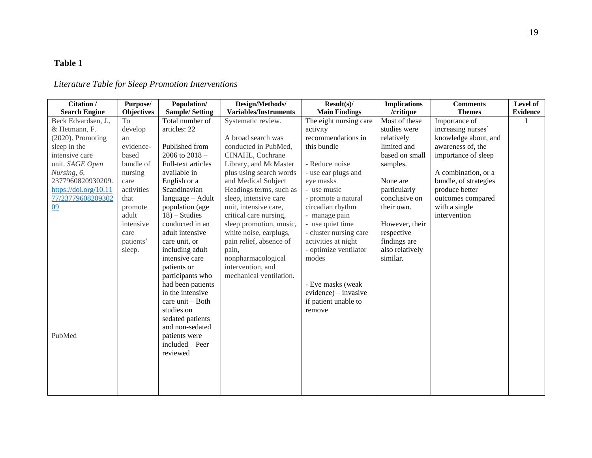# **Table 1**

# *Literature Table for Sleep Promotion Interventions*

| Citation /            | Purpose/          | Population/                      | Design/Methods/              | $Result(s)$ /           | <b>Implications</b> | <b>Comments</b>       | Level of        |
|-----------------------|-------------------|----------------------------------|------------------------------|-------------------------|---------------------|-----------------------|-----------------|
| <b>Search Engine</b>  | <b>Objectives</b> | <b>Sample/Setting</b>            | <b>Variables/Instruments</b> | <b>Main Findings</b>    | /critique           | <b>Themes</b>         | <b>Evidence</b> |
| Beck Edvardsen, J.,   | To                | Total number of                  | Systematic review.           | The eight nursing care  | Most of these       | Importance of         |                 |
| & Hetmann, F.         | develop           | articles: 22                     |                              | activity                | studies were        | increasing nurses'    |                 |
| $(2020)$ . Promoting  | an                |                                  | A broad search was           | recommendations in      | relatively          | knowledge about, and  |                 |
| sleep in the          | evidence-         | Published from                   | conducted in PubMed,         | this bundle             | limited and         | awareness of, the     |                 |
| intensive care        | based             | 2006 to $2018 -$                 | CINAHL, Cochrane             |                         | based on small      | importance of sleep   |                 |
| unit. SAGE Open       | bundle of         | Full-text articles               | Library, and McMaster        | - Reduce noise          | samples.            |                       |                 |
| Nursing, 6,           | nursing           | available in                     | plus using search words      | - use ear plugs and     |                     | A combination, or a   |                 |
| 2377960820930209.     | care              | English or a                     | and Medical Subject          | eye masks               | None are            | bundle, of strategies |                 |
| https://doi.org/10.11 | activities        | Scandinavian                     | Headings terms, such as      | - use music             | particularly        | produce better        |                 |
| 77/23779608209302     | that              | language - Adult                 | sleep, intensive care        | - promote a natural     | conclusive on       | outcomes compared     |                 |
| 09                    | promote           | population (age                  | unit, intensive care,        | circadian rhythm        | their own.          | with a single         |                 |
|                       | adult             | $18$ ) – Studies                 | critical care nursing,       | - manage pain           |                     | intervention          |                 |
|                       | intensive         | conducted in an                  | sleep promotion, music,      | - use quiet time        | However, their      |                       |                 |
|                       | care              | adult intensive                  | white noise, earplugs,       | - cluster nursing care  | respective          |                       |                 |
|                       | patients'         | care unit, or                    | pain relief, absence of      | activities at night     | findings are        |                       |                 |
|                       | sleep.            | including adult                  | pain.                        | - optimize ventilator   | also relatively     |                       |                 |
|                       |                   | intensive care                   | nonpharmacological           | modes                   | similar.            |                       |                 |
|                       |                   | patients or                      | intervention, and            |                         |                     |                       |                 |
|                       |                   | participants who                 | mechanical ventilation.      |                         |                     |                       |                 |
|                       |                   | had been patients                |                              | - Eye masks (weak       |                     |                       |                 |
|                       |                   | in the intensive                 |                              | $evidence$ ) – invasive |                     |                       |                 |
|                       |                   | care $unit - Both$               |                              | if patient unable to    |                     |                       |                 |
|                       |                   | studies on                       |                              | remove                  |                     |                       |                 |
|                       |                   | sedated patients                 |                              |                         |                     |                       |                 |
|                       |                   | and non-sedated                  |                              |                         |                     |                       |                 |
| PubMed                |                   |                                  |                              |                         |                     |                       |                 |
|                       |                   | patients were<br>included - Peer |                              |                         |                     |                       |                 |
|                       |                   |                                  |                              |                         |                     |                       |                 |
|                       |                   | reviewed                         |                              |                         |                     |                       |                 |
|                       |                   |                                  |                              |                         |                     |                       |                 |
|                       |                   |                                  |                              |                         |                     |                       |                 |
|                       |                   |                                  |                              |                         |                     |                       |                 |
|                       |                   |                                  |                              |                         |                     |                       |                 |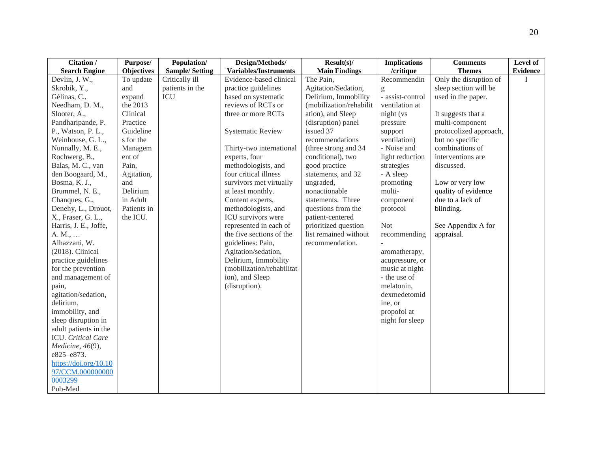| Citation /            | Purpose/          | Population/           | Design/Methods/              | $Result(s)$ /           | <b>Implications</b> | <b>Comments</b>        | Level of        |
|-----------------------|-------------------|-----------------------|------------------------------|-------------------------|---------------------|------------------------|-----------------|
| <b>Search Engine</b>  | <b>Objectives</b> | <b>Sample/Setting</b> | <b>Variables/Instruments</b> | <b>Main Findings</b>    | /critique           | <b>Themes</b>          | <b>Evidence</b> |
| Devlin, J. W.,        | To update         | Critically ill        | Evidence-based clinical      | The Pain,               | Recommendin         | Only the disruption of |                 |
| Skrobik, Y.,          | and               | patients in the       | practice guidelines          | Agitation/Sedation,     | g                   | sleep section will be  |                 |
| Gélinas, C.,          | expand            | ICU                   | based on systematic          | Delirium, Immobility    | - assist-control    | used in the paper.     |                 |
| Needham, D. M.,       | the 2013          |                       | reviews of RCTs or           | (mobilization/rehabilit | ventilation at      |                        |                 |
| Slooter, A.,          | Clinical          |                       | three or more RCTs           | ation), and Sleep       | night (vs           | It suggests that a     |                 |
| Pandharipande, P.     | Practice          |                       |                              | (disruption) panel      | pressure            | multi-component        |                 |
| P., Watson, P.L.,     | Guideline         |                       | <b>Systematic Review</b>     | issued 37               | support             | protocolized approach, |                 |
| Weinhouse, G. L.,     | s for the         |                       |                              | recommendations         | ventilation)        | but no specific        |                 |
| Nunnally, M. E.,      | Managem           |                       | Thirty-two international     | (three strong and 34)   | - Noise and         | combinations of        |                 |
| Rochwerg, B.,         | ent of            |                       | experts, four                | conditional), two       | light reduction     | interventions are      |                 |
| Balas, M. C., van     | Pain,             |                       | methodologists, and          | good practice           | strategies          | discussed.             |                 |
| den Boogaard, M.,     | Agitation,        |                       | four critical illness        | statements, and 32      | - A sleep           |                        |                 |
| Bosma, K. J.,         | and               |                       | survivors met virtually      | ungraded,               | promoting           | Low or very low        |                 |
| Brummel, N. E.,       | Delirium          |                       | at least monthly.            | nonactionable           | multi-              | quality of evidence    |                 |
| Chanques, G.,         | in Adult          |                       | Content experts,             | statements. Three       | component           | due to a lack of       |                 |
| Denehy, L., Drouot,   | Patients in       |                       | methodologists, and          | questions from the      | protocol            | blinding.              |                 |
| X., Fraser, G. L.,    | the ICU.          |                       | ICU survivors were           | patient-centered        |                     |                        |                 |
| Harris, J. E., Joffe, |                   |                       | represented in each of       | prioritized question    | <b>Not</b>          | See Appendix A for     |                 |
| A. M.,                |                   |                       | the five sections of the     | list remained without   | recommending        | appraisal.             |                 |
| Alhazzani, W.         |                   |                       | guidelines: Pain,            | recommendation.         |                     |                        |                 |
| $(2018)$ . Clinical   |                   |                       | Agitation/sedation,          |                         | aromatherapy,       |                        |                 |
| practice guidelines   |                   |                       | Delirium, Immobility         |                         | acupressure, or     |                        |                 |
| for the prevention    |                   |                       | (mobilization/rehabilitat    |                         | music at night      |                        |                 |
| and management of     |                   |                       | ion), and Sleep              |                         | - the use of        |                        |                 |
| pain,                 |                   |                       | (disruption).                |                         | melatonin,          |                        |                 |
| agitation/sedation,   |                   |                       |                              |                         | dexmedetomid        |                        |                 |
| delirium,             |                   |                       |                              |                         | ine, or             |                        |                 |
| immobility, and       |                   |                       |                              |                         | propofol at         |                        |                 |
| sleep disruption in   |                   |                       |                              |                         | night for sleep     |                        |                 |
| adult patients in the |                   |                       |                              |                         |                     |                        |                 |
| ICU. Critical Care    |                   |                       |                              |                         |                     |                        |                 |
| Medicine, 46(9),      |                   |                       |                              |                         |                     |                        |                 |
| e825-e873.            |                   |                       |                              |                         |                     |                        |                 |
| https://doi.org/10.10 |                   |                       |                              |                         |                     |                        |                 |
| 97/CCM.000000000      |                   |                       |                              |                         |                     |                        |                 |
| 0003299               |                   |                       |                              |                         |                     |                        |                 |
| Pub-Med               |                   |                       |                              |                         |                     |                        |                 |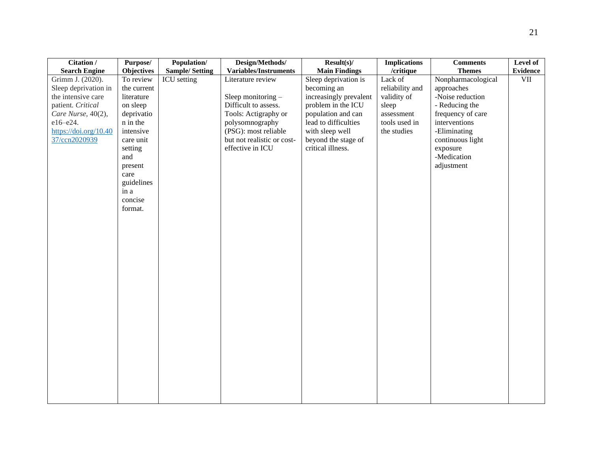| Citation /            | Purpose/          | Population/           | Design/Methods/              | $Result(s)$ /          | <b>Implications</b> | <b>Comments</b>    | Level of        |
|-----------------------|-------------------|-----------------------|------------------------------|------------------------|---------------------|--------------------|-----------------|
| <b>Search Engine</b>  | <b>Objectives</b> | <b>Sample/Setting</b> | <b>Variables/Instruments</b> | <b>Main Findings</b>   | /critique           | <b>Themes</b>      | <b>Evidence</b> |
| Grimm J. (2020).      | To review         | ICU setting           | Literature review            | Sleep deprivation is   | Lack of             | Nonpharmacological | VII             |
| Sleep deprivation in  | the current       |                       |                              | becoming an            | reliability and     | approaches         |                 |
| the intensive care    | literature        |                       | Sleep monitoring $-$         | increasingly prevalent | validity of         | -Noise reduction   |                 |
| patient. Critical     | on sleep          |                       | Difficult to assess.         | problem in the ICU     | sleep               | - Reducing the     |                 |
| Care Nurse, 40(2),    | deprivatio        |                       | Tools: Actigraphy or         | population and can     | assessment          | frequency of care  |                 |
| e16-e24.              | n in the          |                       | polysomnography              | lead to difficulties   | tools used in       | interventions      |                 |
| https://doi.org/10.40 | intensive         |                       | (PSG): most reliable         | with sleep well        | the studies         | -Eliminating       |                 |
| 37/ccn2020939         | care unit         |                       | but not realistic or cost-   | beyond the stage of    |                     | continuous light   |                 |
|                       | setting           |                       | effective in ICU             | critical illness.      |                     | exposure           |                 |
|                       | and               |                       |                              |                        |                     | -Medication        |                 |
|                       | present           |                       |                              |                        |                     | adjustment         |                 |
|                       | care              |                       |                              |                        |                     |                    |                 |
|                       | guidelines        |                       |                              |                        |                     |                    |                 |
|                       | in a              |                       |                              |                        |                     |                    |                 |
|                       | concise           |                       |                              |                        |                     |                    |                 |
|                       | format.           |                       |                              |                        |                     |                    |                 |
|                       |                   |                       |                              |                        |                     |                    |                 |
|                       |                   |                       |                              |                        |                     |                    |                 |
|                       |                   |                       |                              |                        |                     |                    |                 |
|                       |                   |                       |                              |                        |                     |                    |                 |
|                       |                   |                       |                              |                        |                     |                    |                 |
|                       |                   |                       |                              |                        |                     |                    |                 |
|                       |                   |                       |                              |                        |                     |                    |                 |
|                       |                   |                       |                              |                        |                     |                    |                 |
|                       |                   |                       |                              |                        |                     |                    |                 |
|                       |                   |                       |                              |                        |                     |                    |                 |
|                       |                   |                       |                              |                        |                     |                    |                 |
|                       |                   |                       |                              |                        |                     |                    |                 |
|                       |                   |                       |                              |                        |                     |                    |                 |
|                       |                   |                       |                              |                        |                     |                    |                 |
|                       |                   |                       |                              |                        |                     |                    |                 |
|                       |                   |                       |                              |                        |                     |                    |                 |
|                       |                   |                       |                              |                        |                     |                    |                 |
|                       |                   |                       |                              |                        |                     |                    |                 |
|                       |                   |                       |                              |                        |                     |                    |                 |
|                       |                   |                       |                              |                        |                     |                    |                 |
|                       |                   |                       |                              |                        |                     |                    |                 |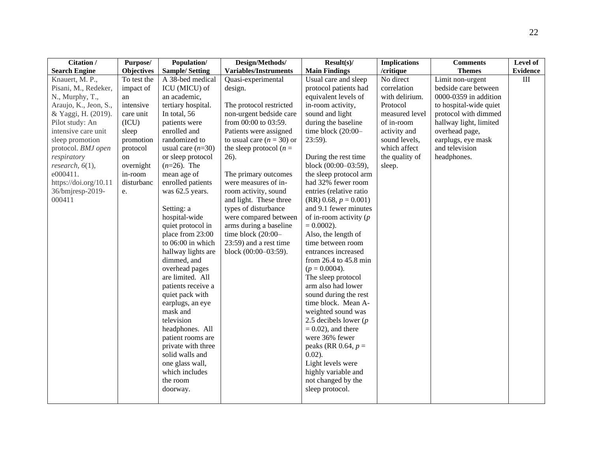| Citation /            | Purpose/          | Population/           | Design/Methods/             | $Result(s)$ /              | <b>Implications</b> | <b>Comments</b>        | Level of  |
|-----------------------|-------------------|-----------------------|-----------------------------|----------------------------|---------------------|------------------------|-----------|
| <b>Search Engine</b>  | <b>Objectives</b> | <b>Sample/Setting</b> | Variables/Instruments       | <b>Main Findings</b>       | /critique           | <b>Themes</b>          | Evidence  |
| Knauert, M. P.,       | To test the       | A 38-bed medical      | Quasi-experimental          | Usual care and sleep       | No direct           | Limit non-urgent       | $\rm III$ |
| Pisani, M., Redeker,  | impact of         | ICU (MICU) of         | design.                     | protocol patients had      | correlation         | bedside care between   |           |
| N., Murphy, T.,       | an                | an academic,          |                             | equivalent levels of       | with delirium.      | 0000-0359 in addition  |           |
| Araujo, K., Jeon, S., | intensive         | tertiary hospital.    | The protocol restricted     | in-room activity,          | Protocol            | to hospital-wide quiet |           |
| & Yaggi, H. (2019).   | care unit         | In total, 56          | non-urgent bedside care     | sound and light            | measured level      | protocol with dimmed   |           |
| Pilot study: An       | (ICU)             | patients were         | from 00:00 to 03:59.        | during the baseline        | of in-room          | hallway light, limited |           |
| intensive care unit   | sleep             | enrolled and          | Patients were assigned      | time block (20:00-         | activity and        | overhead page,         |           |
| sleep promotion       | promotion         | randomized to         | to usual care $(n = 30)$ or | 23:59).                    | sound levels,       | earplugs, eye mask     |           |
| protocol. BMJ open    | protocol          | usual care $(n=30)$   | the sleep protocol ( $n =$  |                            | which affect        | and television         |           |
| respiratory           | on                | or sleep protocol     | $26$ ).                     | During the rest time       | the quality of      | headphones.            |           |
| research, $6(1)$ ,    | overnight         | $(n=26)$ . The        |                             | block (00:00-03:59),       | sleep.              |                        |           |
| e000411.              | in-room           | mean age of           | The primary outcomes        | the sleep protocol arm     |                     |                        |           |
| https://doi.org/10.11 | disturbanc        | enrolled patients     | were measures of in-        | had 32% fewer room         |                     |                        |           |
| 36/bmjresp-2019-      | e.                | was 62.5 years.       | room activity, sound        | entries (relative ratio    |                     |                        |           |
| 000411                |                   |                       | and light. These three      | $(RR)$ 0.68, $p = 0.001$ ) |                     |                        |           |
|                       |                   | Setting: a            | types of disturbance        | and 9.1 fewer minutes      |                     |                        |           |
|                       |                   | hospital-wide         | were compared between       | of in-room activity $(p)$  |                     |                        |           |
|                       |                   | quiet protocol in     | arms during a baseline      | $= 0.0002$ ).              |                     |                        |           |
|                       |                   | place from 23:00      | time block (20:00-          | Also, the length of        |                     |                        |           |
|                       |                   | to 06:00 in which     | 23:59) and a rest time      | time between room          |                     |                        |           |
|                       |                   | hallway lights are    | block (00:00-03:59).        | entrances increased        |                     |                        |           |
|                       |                   | dimmed, and           |                             | from 26.4 to 45.8 min      |                     |                        |           |
|                       |                   | overhead pages        |                             | $(p = 0.0004)$ .           |                     |                        |           |
|                       |                   | are limited. All      |                             | The sleep protocol         |                     |                        |           |
|                       |                   | patients receive a    |                             | arm also had lower         |                     |                        |           |
|                       |                   | quiet pack with       |                             | sound during the rest      |                     |                        |           |
|                       |                   | earplugs, an eye      |                             | time block. Mean A-        |                     |                        |           |
|                       |                   | mask and              |                             | weighted sound was         |                     |                        |           |
|                       |                   | television            |                             | 2.5 decibels lower $(p)$   |                     |                        |           |
|                       |                   | headphones. All       |                             | $= 0.02$ , and there       |                     |                        |           |
|                       |                   | patient rooms are     |                             | were 36% fewer             |                     |                        |           |
|                       |                   | private with three    |                             | peaks (RR 0.64, $p =$      |                     |                        |           |
|                       |                   | solid walls and       |                             | $0.02$ ).                  |                     |                        |           |
|                       |                   | one glass wall,       |                             | Light levels were          |                     |                        |           |
|                       |                   | which includes        |                             | highly variable and        |                     |                        |           |
|                       |                   | the room              |                             | not changed by the         |                     |                        |           |
|                       |                   | doorway.              |                             | sleep protocol.            |                     |                        |           |
|                       |                   |                       |                             |                            |                     |                        |           |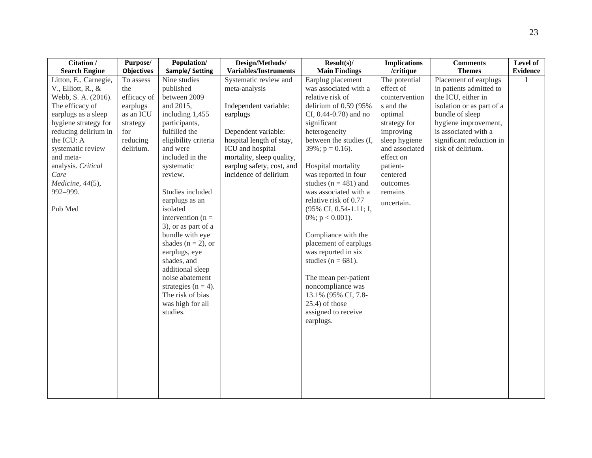| Citation /                                                                                                                                                                                                                                                                                         | Purpose/                                                                                                                  | Population/                                                                                                                                                                                                                                                                 | Design/Methods/                                                                                                                                                                                                                                                       | $Result(s)$ /                                                                                                                                                                                                                                                                                                                         | <b>Implications</b>                                                                                                                                                                                           | <b>Comments</b>                                                                                                                                                                                                                          | Level of        |
|----------------------------------------------------------------------------------------------------------------------------------------------------------------------------------------------------------------------------------------------------------------------------------------------------|---------------------------------------------------------------------------------------------------------------------------|-----------------------------------------------------------------------------------------------------------------------------------------------------------------------------------------------------------------------------------------------------------------------------|-----------------------------------------------------------------------------------------------------------------------------------------------------------------------------------------------------------------------------------------------------------------------|---------------------------------------------------------------------------------------------------------------------------------------------------------------------------------------------------------------------------------------------------------------------------------------------------------------------------------------|---------------------------------------------------------------------------------------------------------------------------------------------------------------------------------------------------------------|------------------------------------------------------------------------------------------------------------------------------------------------------------------------------------------------------------------------------------------|-----------------|
|                                                                                                                                                                                                                                                                                                    |                                                                                                                           |                                                                                                                                                                                                                                                                             |                                                                                                                                                                                                                                                                       |                                                                                                                                                                                                                                                                                                                                       |                                                                                                                                                                                                               |                                                                                                                                                                                                                                          |                 |
| <b>Search Engine</b><br>Litton, E., Carnegie,<br>V., Elliott, R., &<br>Webb, S. A. (2016).<br>The efficacy of<br>earplugs as a sleep<br>hygiene strategy for<br>reducing delirium in<br>the ICU: A<br>systematic review<br>and meta-<br>analysis. Critical<br>Care<br>Medicine, 44(5),<br>992-999. | <b>Objectives</b><br>To assess<br>the<br>efficacy of<br>earplugs<br>as an ICU<br>strategy<br>for<br>reducing<br>delirium. | Sample/ Setting<br>Nine studies<br>published<br>between 2009<br>and 2015,<br>including 1,455<br>participants,<br>fulfilled the<br>eligibility criteria<br>and were<br>included in the<br>systematic<br>review.<br>Studies included                                          | <b>Variables/Instruments</b><br>Systematic review and<br>meta-analysis<br>Independent variable:<br>earplugs<br>Dependent variable:<br>hospital length of stay,<br>ICU and hospital<br>mortality, sleep quality,<br>earplug safety, cost, and<br>incidence of delirium | <b>Main Findings</b><br>Earplug placement<br>was associated with a<br>relative risk of<br>delirium of $0.59$ (95%<br>CI, $0.44 - 0.78$ ) and no<br>significant<br>heterogeneity<br>between the studies (I,<br>$39\%$ ; p = 0.16).<br>Hospital mortality<br>was reported in four<br>studies ( $n = 481$ ) and<br>was associated with a | /critique<br>The potential<br>effect of<br>cointervention<br>s and the<br>optimal<br>strategy for<br>improving<br>sleep hygiene<br>and associated<br>effect on<br>patient-<br>centered<br>outcomes<br>remains | <b>Themes</b><br>Placement of earplugs<br>in patients admitted to<br>the ICU, either in<br>isolation or as part of a<br>bundle of sleep<br>hygiene improvement,<br>is associated with a<br>significant reduction in<br>risk of delirium. | <b>Evidence</b> |
| Pub Med                                                                                                                                                                                                                                                                                            |                                                                                                                           | earplugs as an<br>isolated<br>intervention $(n =$<br>3), or as part of a<br>bundle with eye<br>shades ( $n = 2$ ), or<br>earplugs, eye<br>shades, and<br>additional sleep<br>noise abatement<br>strategies ( $n = 4$ ).<br>The risk of bias<br>was high for all<br>studies. |                                                                                                                                                                                                                                                                       | relative risk of 0.77<br>(95% CI, 0.54-1.11; I,<br>0%; $p < 0.001$ ).<br>Compliance with the<br>placement of earplugs<br>was reported in six<br>studies ( $n = 681$ ).<br>The mean per-patient<br>noncompliance was<br>13.1% (95% CI, 7.8-<br>$25.4$ ) of those<br>assigned to receive<br>earplugs.                                   | uncertain.                                                                                                                                                                                                    |                                                                                                                                                                                                                                          |                 |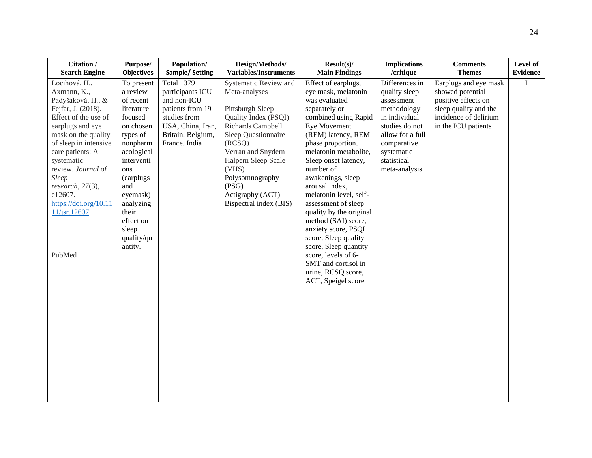| Citation /                                                                                                                                                                                                                                                                                                                | Purpose/                                                                                                                                                                                                                                   | Population/                                                                                                                                         | Design/Methods/                                                                                                                                                                                                                                                          | $Result(s)$ /                                                                                                                                                                                                                                                                                                                                                                                                                                                                                                                             | <b>Implications</b>                                                                                                                                                               | <b>Comments</b>                                                                                                                           | Level of        |
|---------------------------------------------------------------------------------------------------------------------------------------------------------------------------------------------------------------------------------------------------------------------------------------------------------------------------|--------------------------------------------------------------------------------------------------------------------------------------------------------------------------------------------------------------------------------------------|-----------------------------------------------------------------------------------------------------------------------------------------------------|--------------------------------------------------------------------------------------------------------------------------------------------------------------------------------------------------------------------------------------------------------------------------|-------------------------------------------------------------------------------------------------------------------------------------------------------------------------------------------------------------------------------------------------------------------------------------------------------------------------------------------------------------------------------------------------------------------------------------------------------------------------------------------------------------------------------------------|-----------------------------------------------------------------------------------------------------------------------------------------------------------------------------------|-------------------------------------------------------------------------------------------------------------------------------------------|-----------------|
| <b>Search Engine</b>                                                                                                                                                                                                                                                                                                      | <b>Objectives</b>                                                                                                                                                                                                                          | Sample/Setting                                                                                                                                      | <b>Variables/Instruments</b>                                                                                                                                                                                                                                             | <b>Main Findings</b>                                                                                                                                                                                                                                                                                                                                                                                                                                                                                                                      | /critique                                                                                                                                                                         | <b>Themes</b>                                                                                                                             | <b>Evidence</b> |
| Locihová, H.,<br>Axmann, K.,<br>Padyšáková, H., &<br>Fejfar, J. (2018).<br>Effect of the use of<br>earplugs and eye<br>mask on the quality<br>of sleep in intensive<br>care patients: A<br>systematic<br>review. Journal of<br>Sleep<br>research, 27(3),<br>e12607.<br>https://doi.org/10.11<br>$11/$ jsr.12607<br>PubMed | To present<br>a review<br>of recent<br>literature<br>focused<br>on chosen<br>types of<br>nonpharm<br>acological<br>interventi<br>ons<br>(earplugs)<br>and<br>eyemask)<br>analyzing<br>their<br>effect on<br>sleep<br>quality/qu<br>antity. | <b>Total 1379</b><br>participants ICU<br>and non-ICU<br>patients from 19<br>studies from<br>USA, China, Iran,<br>Britain, Belgium,<br>France, India | Systematic Review and<br>Meta-analyses<br>Pittsburgh Sleep<br>Quality Index (PSQI)<br>Richards Campbell<br>Sleep Questionnaire<br>(RCSQ)<br>Verran and Snydern<br>Halpern Sleep Scale<br>(VHS)<br>Polysomnography<br>(PSG)<br>Actigraphy (ACT)<br>Bispectral index (BIS) | Effect of earplugs,<br>eye mask, melatonin<br>was evaluated<br>separately or<br>combined using Rapid<br>Eye Movement<br>(REM) latency, REM<br>phase proportion,<br>melatonin metabolite,<br>Sleep onset latency,<br>number of<br>awakenings, sleep<br>arousal index,<br>melatonin level, self-<br>assessment of sleep<br>quality by the original<br>method (SAI) score,<br>anxiety score, PSQI<br>score, Sleep quality<br>score, Sleep quantity<br>score, levels of 6-<br>SMT and cortisol in<br>urine, RCSQ score,<br>ACT, Speigel score | Differences in<br>quality sleep<br>assessment<br>methodology<br>in individual<br>studies do not<br>allow for a full<br>comparative<br>systematic<br>statistical<br>meta-analysis. | Earplugs and eye mask<br>showed potential<br>positive effects on<br>sleep quality and the<br>incidence of delirium<br>in the ICU patients | $\bf{I}$        |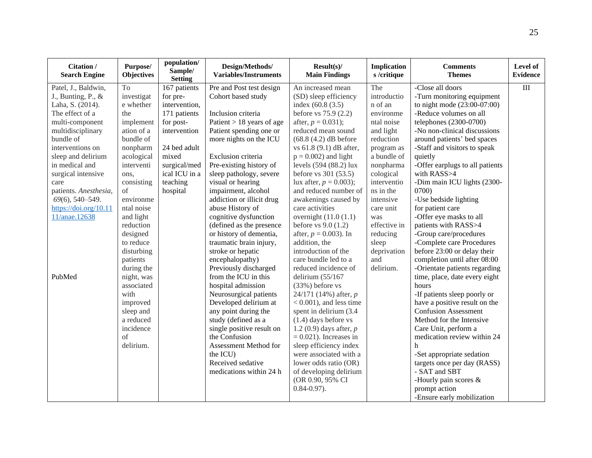| Citation /<br><b>Search Engine</b> | Purpose/<br><b>Objectives</b> | population/<br>Sample/<br><b>Setting</b> | Design/Methods/<br><b>Variables/Instruments</b> | $Result(s)$ /<br><b>Main Findings</b> | <b>Implication</b><br>s/critique | <b>Comments</b><br><b>Themes</b> | Level of<br><b>Evidence</b> |
|------------------------------------|-------------------------------|------------------------------------------|-------------------------------------------------|---------------------------------------|----------------------------------|----------------------------------|-----------------------------|
| Patel, J., Baldwin,                | To                            | 167 patients                             | Pre and Post test design                        | An increased mean                     | The                              | -Close all doors                 | $\overline{III}$            |
| J., Bunting, P., $\&$              | investigat                    | for pre-                                 | Cohort based study                              | (SD) sleep efficiency                 | introductio                      | -Turn monitoring equipment       |                             |
| Laha, S. (2014).                   | e whether                     | intervention,                            |                                                 | index $(60.8 (3.5)$                   | n of an                          | to night mode (23:00-07:00)      |                             |
| The effect of a                    | the                           | 171 patients                             | Inclusion criteria                              | before vs 75.9 (2.2)                  | environme                        | -Reduce volumes on all           |                             |
| multi-component                    | implement                     | for post-                                | Patient $> 18$ years of age                     | after, $p = 0.031$ ;                  | ntal noise                       | telephones (2300-0700)           |                             |
| multidisciplinary                  | ation of a                    | intervention                             | Patient spending one or                         | reduced mean sound                    | and light                        | -No non-clinical discussions     |                             |
| bundle of                          | bundle of                     |                                          | more nights on the ICU                          | $(68.8 (4.2)$ dB before               | reduction                        | around patients' bed spaces      |                             |
| interventions on                   | nonpharm                      | 24 bed adult                             |                                                 | vs 61.8 (9.1) dB after,               | program as                       | -Staff and visitors to speak     |                             |
| sleep and delirium                 | acological                    | mixed                                    | Exclusion criteria                              | $p = 0.002$ ) and light               | a bundle of                      | quietly                          |                             |
| in medical and                     | interventi                    | surgical/med                             | Pre-existing history of                         | levels (594 (88.2) lux                | nonpharma                        | -Offer earplugs to all patients  |                             |
| surgical intensive                 | ons,                          | ical ICU in a                            | sleep pathology, severe                         | before vs 301 (53.5)                  | cological                        | with RASS>4                      |                             |
| care                               | consisting                    | teaching                                 | visual or hearing                               | lux after, $p = 0.003$ ;              | interventio                      | -Dim main ICU lights (2300-      |                             |
| patients. Anesthesia,              | of                            | hospital                                 | impairment, alcohol                             | and reduced number of                 | ns in the                        | 0700)                            |                             |
| 69(6), 540-549.                    | environme                     |                                          | addiction or illicit drug                       | awakenings caused by                  | intensive                        | -Use bedside lighting            |                             |
| https://doi.org/10.11              | ntal noise                    |                                          | abuse History of                                | care activities                       | care unit                        | for patient care                 |                             |
| 11/anae.12638                      | and light                     |                                          | cognitive dysfunction                           | overnight $(11.0 (1.1)$               | was                              | -Offer eye masks to all          |                             |
|                                    | reduction                     |                                          | (defined as the presence                        | before $vs 9.0 (1.2)$                 | effective in                     | patients with RASS>4             |                             |
|                                    | designed                      |                                          | or history of dementia,                         | after, $p = 0.003$ ). In              | reducing                         | -Group care/procedures           |                             |
|                                    | to reduce                     |                                          | traumatic brain injury,                         | addition, the                         | sleep                            | -Complete care Procedures        |                             |
|                                    | disturbing                    |                                          | stroke or hepatic                               | introduction of the                   | deprivation                      | before 23:00 or delay their      |                             |
|                                    | patients                      |                                          | encephalopathy)                                 | care bundle led to a                  | and                              | completion until after 08:00     |                             |
|                                    | during the                    |                                          | Previously discharged                           | reduced incidence of                  | delirium.                        | -Orientate patients regarding    |                             |
| PubMed                             | night, was                    |                                          | from the ICU in this                            | delirium $(55/167)$                   |                                  | time, place, date every eight    |                             |
|                                    | associated                    |                                          | hospital admission                              | $(33%)$ before vs                     |                                  | hours                            |                             |
|                                    | with                          |                                          | Neurosurgical patients                          | 24/171 (14%) after, $p$               |                                  | -If patients sleep poorly or     |                             |
|                                    | improved                      |                                          | Developed delirium at                           | $< 0.001$ ), and less time            |                                  | have a positive result on the    |                             |
|                                    | sleep and                     |                                          | any point during the                            | spent in delirium (3.4)               |                                  | <b>Confusion Assessment</b>      |                             |
|                                    | a reduced                     |                                          | study (defined as a                             | $(1.4)$ days before vs                |                                  | Method for the Intensive         |                             |
|                                    | incidence                     |                                          | single positive result on                       | 1.2 (0.9) days after, $p$             |                                  | Care Unit, perform a             |                             |
|                                    | of                            |                                          | the Confusion                                   | $= 0.021$ ). Increases in             |                                  | medication review within 24      |                             |
|                                    | delirium.                     |                                          | Assessment Method for                           | sleep efficiency index                |                                  | h                                |                             |
|                                    |                               |                                          | the ICU)                                        | were associated with a                |                                  | -Set appropriate sedation        |                             |
|                                    |                               |                                          | Received sedative                               | lower odds ratio (OR)                 |                                  | targets once per day (RASS)      |                             |
|                                    |                               |                                          | medications within 24 h                         | of developing delirium                |                                  | - SAT and SBT                    |                             |
|                                    |                               |                                          |                                                 | (OR 0.90, 95% CI                      |                                  | -Hourly pain scores &            |                             |
|                                    |                               |                                          |                                                 | $0.84 - 0.97$ ).                      |                                  | prompt action                    |                             |
|                                    |                               |                                          |                                                 |                                       |                                  | -Ensure early mobilization       |                             |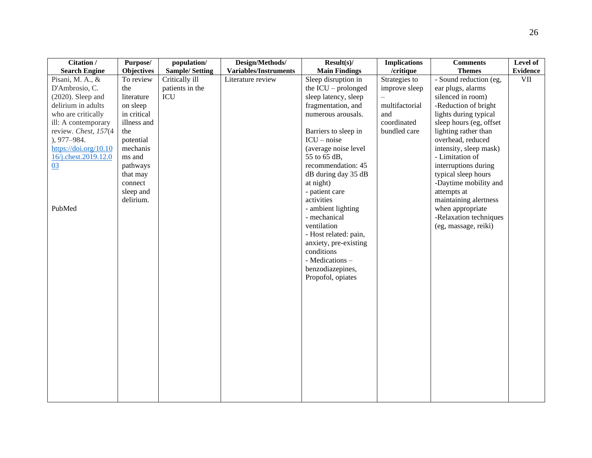| Citation /            | Purpose/          | population/           | Design/Methods/              | $Result(s)$ /         | <b>Implications</b> | <b>Comments</b>         | Level of        |
|-----------------------|-------------------|-----------------------|------------------------------|-----------------------|---------------------|-------------------------|-----------------|
| <b>Search Engine</b>  | <b>Objectives</b> | <b>Sample/Setting</b> | <b>Variables/Instruments</b> | <b>Main Findings</b>  | /critique           | <b>Themes</b>           | <b>Evidence</b> |
| Pisani, M. A., &      | To review         | Critically ill        | Literature review            | Sleep disruption in   | Strategies to       | - Sound reduction (eg,  | $\rm{VII}$      |
| D'Ambrosio, C.        | the               | patients in the       |                              | the $ICU$ – prolonged | improve sleep       | ear plugs, alarms       |                 |
| $(2020)$ . Sleep and  | literature        | ICU                   |                              | sleep latency, sleep  |                     | silenced in room)       |                 |
| delirium in adults    | on sleep          |                       |                              | fragmentation, and    | multifactorial      | -Reduction of bright    |                 |
| who are critically    | in critical       |                       |                              | numerous arousals.    | and                 | lights during typical   |                 |
| ill: A contemporary   | illness and       |                       |                              |                       | coordinated         | sleep hours (eg, offset |                 |
| review. Chest, 157(4  | the               |                       |                              | Barriers to sleep in  | bundled care        | lighting rather than    |                 |
| $), 977 - 984.$       | potential         |                       |                              | $ICU - noise$         |                     | overhead, reduced       |                 |
| https://doi.org/10.10 | mechanis          |                       |                              | (average noise level  |                     | intensity, sleep mask)  |                 |
| 16/j.chest.2019.12.0  | ms and            |                       |                              | 55 to 65 dB,          |                     | - Limitation of         |                 |
| 03                    | pathways          |                       |                              | recommendation: 45    |                     | interruptions during    |                 |
|                       | that may          |                       |                              | dB during day 35 dB   |                     | typical sleep hours     |                 |
|                       | connect           |                       |                              | at night)             |                     | -Daytime mobility and   |                 |
|                       | sleep and         |                       |                              | - patient care        |                     | attempts at             |                 |
|                       | delirium.         |                       |                              | activities            |                     | maintaining alertness   |                 |
| PubMed                |                   |                       |                              | - ambient lighting    |                     | when appropriate        |                 |
|                       |                   |                       |                              | - mechanical          |                     | -Relaxation techniques  |                 |
|                       |                   |                       |                              | ventilation           |                     | (eg, massage, reiki)    |                 |
|                       |                   |                       |                              | - Host related: pain, |                     |                         |                 |
|                       |                   |                       |                              | anxiety, pre-existing |                     |                         |                 |
|                       |                   |                       |                              | conditions            |                     |                         |                 |
|                       |                   |                       |                              | - Medications -       |                     |                         |                 |
|                       |                   |                       |                              | benzodiazepines,      |                     |                         |                 |
|                       |                   |                       |                              | Propofol, opiates     |                     |                         |                 |
|                       |                   |                       |                              |                       |                     |                         |                 |
|                       |                   |                       |                              |                       |                     |                         |                 |
|                       |                   |                       |                              |                       |                     |                         |                 |
|                       |                   |                       |                              |                       |                     |                         |                 |
|                       |                   |                       |                              |                       |                     |                         |                 |
|                       |                   |                       |                              |                       |                     |                         |                 |
|                       |                   |                       |                              |                       |                     |                         |                 |
|                       |                   |                       |                              |                       |                     |                         |                 |
|                       |                   |                       |                              |                       |                     |                         |                 |
|                       |                   |                       |                              |                       |                     |                         |                 |
|                       |                   |                       |                              |                       |                     |                         |                 |
|                       |                   |                       |                              |                       |                     |                         |                 |
|                       |                   |                       |                              |                       |                     |                         |                 |
|                       |                   |                       |                              |                       |                     |                         |                 |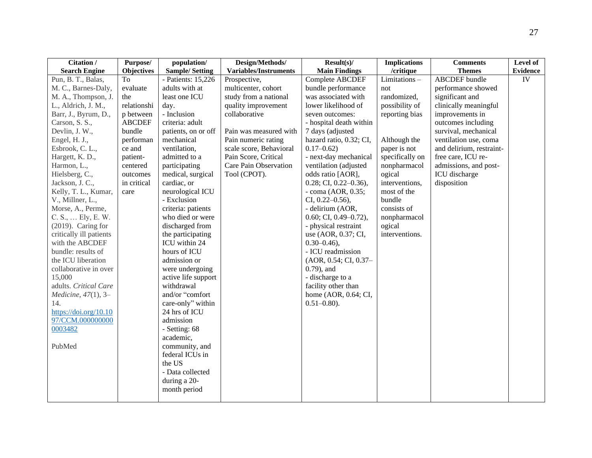| Citation /              | Purpose/          | population/           | Design/Methods/              | $Result(s)$ /              | <b>Implications</b> | <b>Comments</b>          | Level of        |
|-------------------------|-------------------|-----------------------|------------------------------|----------------------------|---------------------|--------------------------|-----------------|
| <b>Search Engine</b>    | <b>Objectives</b> | <b>Sample/Setting</b> | <b>Variables/Instruments</b> | <b>Main Findings</b>       | /critique           | <b>Themes</b>            | <b>Evidence</b> |
| Pun, B. T., Balas,      | To                | - Patients: 15,226    | Prospective,                 | Complete ABCDEF            | Limitations-        | <b>ABCDEF</b> bundle     | IV              |
| M. C., Barnes-Daly,     | evaluate          | adults with at        | multicenter, cohort          | bundle performance         | not                 | performance showed       |                 |
| M. A., Thompson, J.     | the               | least one ICU         | study from a national        | was associated with        | randomized,         | significant and          |                 |
| L., Aldrich, J. M.,     | relationshi       | day.                  | quality improvement          | lower likelihood of        | possibility of      | clinically meaningful    |                 |
| Barr, J., Byrum, D.,    | p between         | - Inclusion           | collaborative                | seven outcomes:            | reporting bias      | improvements in          |                 |
| Carson, S. S.,          | <b>ABCDEF</b>     | criteria: adult       |                              | - hospital death within    |                     | outcomes including       |                 |
| Devlin, J. W.,          | bundle            | patients, on or off   | Pain was measured with       | 7 days (adjusted           |                     | survival, mechanical     |                 |
| Engel, H. J.,           | performan         | mechanical            | Pain numeric rating          | hazard ratio, 0.32; CI,    | Although the        | ventilation use, coma    |                 |
| Esbrook, C. L.,         | ce and            | ventilation,          | scale score, Behavioral      | $0.17 - 0.62$              | paper is not        | and delirium, restraint- |                 |
| Hargett, K. D.,         | patient-          | admitted to a         | Pain Score, Critical         | - next-day mechanical      | specifically on     | free care, ICU re-       |                 |
| Harmon, L.,             | centered          | participating         | Care Pain Observation        | ventilation (adjusted      | nonpharmacol        | admissions, and post-    |                 |
| Hielsberg, C.,          | outcomes          | medical, surgical     | Tool (CPOT).                 | odds ratio [AOR],          | ogical              | ICU discharge            |                 |
| Jackson, J. C.,         | in critical       | cardiac, or           |                              | $0.28;$ CI, $0.22-0.36$ ), | interventions,      | disposition              |                 |
| Kelly, T. L., Kumar,    | care              | neurological ICU      |                              | - coma (AOR, 0.35;         | most of the         |                          |                 |
| V., Millner, L.,        |                   | - Exclusion           |                              | CI, $0.22 - 0.56$ ),       | bundle              |                          |                 |
| Morse, A., Perme,       |                   | criteria: patients    |                              | - delirium (AOR,           | consists of         |                          |                 |
| C. S.,  Ely, E. W.      |                   | who died or were      |                              | $0.60;$ CI, $0.49-0.72$ ), | nonpharmacol        |                          |                 |
| (2019). Caring for      |                   | discharged from       |                              | - physical restraint       | ogical              |                          |                 |
| critically ill patients |                   | the participating     |                              | use (AOR, 0.37; CI,        | interventions.      |                          |                 |
| with the ABCDEF         |                   | ICU within 24         |                              | $0.30 - 0.46$ ,            |                     |                          |                 |
| bundle: results of      |                   | hours of ICU          |                              | - ICU readmission          |                     |                          |                 |
| the ICU liberation      |                   | admission or          |                              | (AOR, 0.54; CI, 0.37-      |                     |                          |                 |
| collaborative in over   |                   | were undergoing       |                              | $0.79$ ), and              |                     |                          |                 |
| 15,000                  |                   | active life support   |                              | - discharge to a           |                     |                          |                 |
| adults. Critical Care   |                   | withdrawal            |                              | facility other than        |                     |                          |                 |
| Medicine, 47(1), 3-     |                   | and/or "comfort       |                              | home (AOR, 0.64; CI,       |                     |                          |                 |
| 14.                     |                   | care-only" within     |                              | $0.51 - 0.80$ ).           |                     |                          |                 |
| https://doi.org/10.10   |                   | 24 hrs of ICU         |                              |                            |                     |                          |                 |
| 97/CCM.000000000        |                   | admission             |                              |                            |                     |                          |                 |
| 0003482                 |                   | - Setting: 68         |                              |                            |                     |                          |                 |
|                         |                   | academic,             |                              |                            |                     |                          |                 |
| PubMed                  |                   | community, and        |                              |                            |                     |                          |                 |
|                         |                   | federal ICUs in       |                              |                            |                     |                          |                 |
|                         |                   | the US                |                              |                            |                     |                          |                 |
|                         |                   | - Data collected      |                              |                            |                     |                          |                 |
|                         |                   | during a 20-          |                              |                            |                     |                          |                 |
|                         |                   | month period          |                              |                            |                     |                          |                 |
|                         |                   |                       |                              |                            |                     |                          |                 |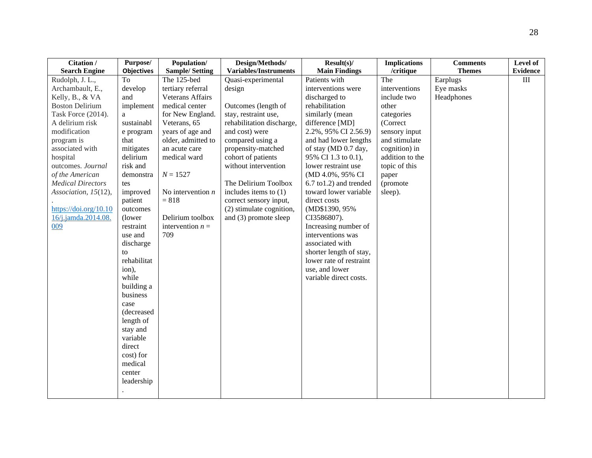| Citation /               | Purpose/          | Population/             | Design/Methods/              | $Result(s)$ /           | <b>Implications</b> | <b>Comments</b> | Level of        |
|--------------------------|-------------------|-------------------------|------------------------------|-------------------------|---------------------|-----------------|-----------------|
| <b>Search Engine</b>     | <b>Objectives</b> | <b>Sample/Setting</b>   | <b>Variables/Instruments</b> | <b>Main Findings</b>    | /critique           | <b>Themes</b>   | <b>Evidence</b> |
| Rudolph, J. L.,          | To                | The 125-bed             | Quasi-experimental           | Patients with           | The                 | Earplugs        | $\rm III$       |
| Archambault, E.,         | develop           | tertiary referral       | design                       | interventions were      | interventions       | Eye masks       |                 |
| Kelly, B., & VA          | and               | <b>Veterans Affairs</b> |                              | discharged to           | include two         | Headphones      |                 |
| <b>Boston Delirium</b>   | implement         | medical center          | Outcomes (length of          | rehabilitation          | other               |                 |                 |
| Task Force (2014).       | a                 | for New England.        | stay, restraint use,         | similarly (mean         | categories          |                 |                 |
| A delirium risk          | sustainabl        | Veterans, 65            | rehabilitation discharge,    | difference [MD]         | (Correct            |                 |                 |
| modification             | e program         | years of age and        | and cost) were               | 2.2%, 95% CI 2.56.9)    | sensory input       |                 |                 |
| program is               | that              | older, admitted to      | compared using a             | and had lower lengths   | and stimulate       |                 |                 |
| associated with          | mitigates         | an acute care           | propensity-matched           | of stay (MD 0.7 day,    | cognition) in       |                 |                 |
| hospital                 | delirium          | medical ward            | cohort of patients           | 95% CI 1.3 to 0.1),     | addition to the     |                 |                 |
| outcomes. Journal        | risk and          |                         | without intervention         | lower restraint use     | topic of this       |                 |                 |
| of the American          | demonstra         | $N = 1527$              |                              | (MD 4.0%, 95% CI        | paper               |                 |                 |
| <b>Medical Directors</b> | tes               |                         | The Delirium Toolbox         | 6.7 to1.2) and trended  | (promote            |                 |                 |
| Association, 15(12),     | improved          | No intervention $n$     | includes items to $(1)$      | toward lower variable   | sleep).             |                 |                 |
|                          | patient           | $= 818$                 | correct sensory input,       | direct costs            |                     |                 |                 |
| https://doi.org/10.10    | outcomes          |                         | (2) stimulate cognition,     | (MD\$1390, 95%)         |                     |                 |                 |
| 16/j.jamda.2014.08.      | (lower)           | Delirium toolbox        | and (3) promote sleep        | CI3586807).             |                     |                 |                 |
| 009                      | restraint         | intervention $n =$      |                              | Increasing number of    |                     |                 |                 |
|                          | use and           | 709                     |                              | interventions was       |                     |                 |                 |
|                          | discharge         |                         |                              | associated with         |                     |                 |                 |
|                          | to                |                         |                              | shorter length of stay, |                     |                 |                 |
|                          | rehabilitat       |                         |                              | lower rate of restraint |                     |                 |                 |
|                          | ion),             |                         |                              | use, and lower          |                     |                 |                 |
|                          | while             |                         |                              | variable direct costs.  |                     |                 |                 |
|                          | building a        |                         |                              |                         |                     |                 |                 |
|                          | business          |                         |                              |                         |                     |                 |                 |
|                          | case              |                         |                              |                         |                     |                 |                 |
|                          | (decreased        |                         |                              |                         |                     |                 |                 |
|                          | length of         |                         |                              |                         |                     |                 |                 |
|                          | stay and          |                         |                              |                         |                     |                 |                 |
|                          | variable          |                         |                              |                         |                     |                 |                 |
|                          | direct            |                         |                              |                         |                     |                 |                 |
|                          | cost) for         |                         |                              |                         |                     |                 |                 |
|                          | medical           |                         |                              |                         |                     |                 |                 |
|                          | center            |                         |                              |                         |                     |                 |                 |
|                          | leadership        |                         |                              |                         |                     |                 |                 |
|                          |                   |                         |                              |                         |                     |                 |                 |
|                          |                   |                         |                              |                         |                     |                 |                 |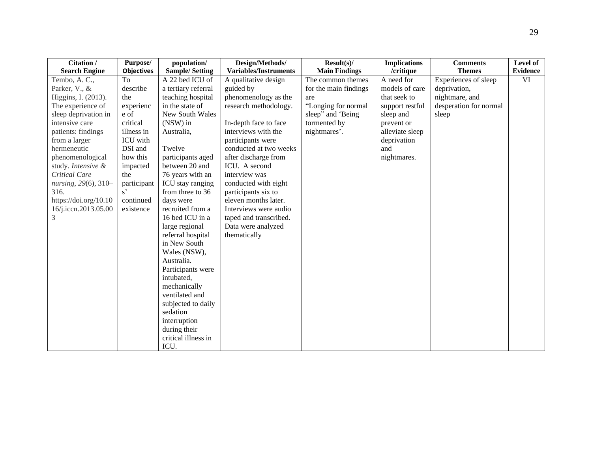| Citation /            | Purpose/          | population/           | Design/Methods/              | $Result(s)$ /         | <b>Implications</b> | <b>Comments</b>        | Level of        |
|-----------------------|-------------------|-----------------------|------------------------------|-----------------------|---------------------|------------------------|-----------------|
| <b>Search Engine</b>  | <b>Objectives</b> | <b>Sample/Setting</b> | <b>Variables/Instruments</b> | <b>Main Findings</b>  | /critique           | <b>Themes</b>          | <b>Evidence</b> |
| Tembo, A.C.,          | To                | A 22 bed ICU of       | A qualitative design         | The common themes     | A need for          | Experiences of sleep   | VI              |
| Parker, V., &         | describe          | a tertiary referral   | guided by                    | for the main findings | models of care      | deprivation,           |                 |
| Higgins, I. (2013).   | the               | teaching hospital     | phenomenology as the         | are                   | that seek to        | nightmare, and         |                 |
| The experience of     | experienc         | in the state of       | research methodology.        | "Longing for normal   | support restful     | desperation for normal |                 |
| sleep deprivation in  | e of              | New South Wales       |                              | sleep" and 'Being     | sleep and           | sleep                  |                 |
| intensive care        | critical          | (NSW) in              | In-depth face to face        | tormented by          | prevent or          |                        |                 |
| patients: findings    | illness in        | Australia,            | interviews with the          | nightmares'.          | alleviate sleep     |                        |                 |
| from a larger         | ICU with          |                       | participants were            |                       | deprivation         |                        |                 |
| hermeneutic           | DSI and           | Twelve                | conducted at two weeks       |                       | and                 |                        |                 |
| phenomenological      | how this          | participants aged     | after discharge from         |                       | nightmares.         |                        |                 |
| study. Intensive &    | impacted          | between 20 and        | ICU. A second                |                       |                     |                        |                 |
| Critical Care         | the               | 76 years with an      | interview was                |                       |                     |                        |                 |
| nursing, 29(6), 310-  | participant       | ICU stay ranging      | conducted with eight         |                       |                     |                        |                 |
| 316.                  | $s^{\prime}$      | from three to 36      | participants six to          |                       |                     |                        |                 |
| https://doi.org/10.10 | continued         | days were             | eleven months later.         |                       |                     |                        |                 |
| 16/j.iccn.2013.05.00  | existence         | recruited from a      | Interviews were audio        |                       |                     |                        |                 |
| 3                     |                   | 16 bed ICU in a       | taped and transcribed.       |                       |                     |                        |                 |
|                       |                   | large regional        | Data were analyzed           |                       |                     |                        |                 |
|                       |                   | referral hospital     | thematically                 |                       |                     |                        |                 |
|                       |                   | in New South          |                              |                       |                     |                        |                 |
|                       |                   | Wales (NSW),          |                              |                       |                     |                        |                 |
|                       |                   | Australia.            |                              |                       |                     |                        |                 |
|                       |                   | Participants were     |                              |                       |                     |                        |                 |
|                       |                   | intubated,            |                              |                       |                     |                        |                 |
|                       |                   | mechanically          |                              |                       |                     |                        |                 |
|                       |                   | ventilated and        |                              |                       |                     |                        |                 |
|                       |                   | subjected to daily    |                              |                       |                     |                        |                 |
|                       |                   | sedation              |                              |                       |                     |                        |                 |
|                       |                   | interruption          |                              |                       |                     |                        |                 |
|                       |                   | during their          |                              |                       |                     |                        |                 |
|                       |                   | critical illness in   |                              |                       |                     |                        |                 |
|                       |                   | ICU.                  |                              |                       |                     |                        |                 |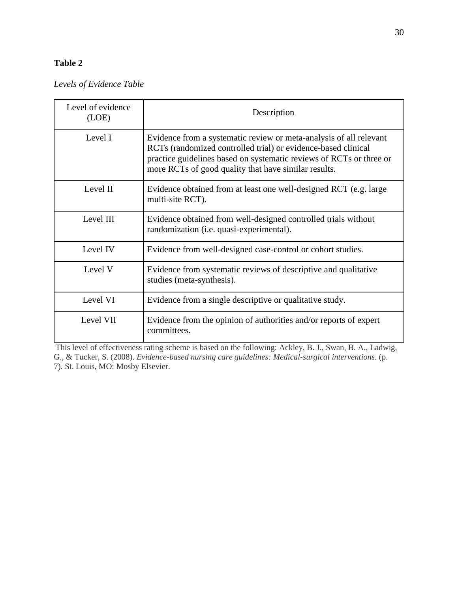# **Table 2**

*Levels of Evidence Table*

| Level of evidence<br>(LOE) | Description                                                                                                                                                                                                                                                        |
|----------------------------|--------------------------------------------------------------------------------------------------------------------------------------------------------------------------------------------------------------------------------------------------------------------|
| Level I                    | Evidence from a systematic review or meta-analysis of all relevant<br>RCTs (randomized controlled trial) or evidence-based clinical<br>practice guidelines based on systematic reviews of RCTs or three or<br>more RCTs of good quality that have similar results. |
| Level II                   | Evidence obtained from at least one well-designed RCT (e.g. large<br>multi-site RCT).                                                                                                                                                                              |
| Level III                  | Evidence obtained from well-designed controlled trials without<br>randomization (i.e. quasi-experimental).                                                                                                                                                         |
| Level IV                   | Evidence from well-designed case-control or cohort studies.                                                                                                                                                                                                        |
| Level V                    | Evidence from systematic reviews of descriptive and qualitative<br>studies (meta-synthesis).                                                                                                                                                                       |
| Level VI                   | Evidence from a single descriptive or qualitative study.                                                                                                                                                                                                           |
| Level VII                  | Evidence from the opinion of authorities and/or reports of expert<br>committees.                                                                                                                                                                                   |

This level of effectiveness rating scheme is based on the following: Ackley, B. J., Swan, B. A., Ladwig, G., & Tucker, S. (2008). *Evidence-based nursing care guidelines: Medical-surgical interventions.* (p. 7)*.* St. Louis, MO: Mosby Elsevier.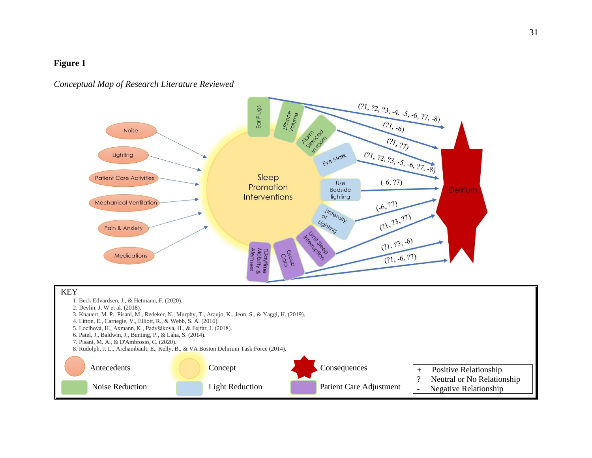### **Figure 1**

### *Conceptual Map of Research Literature Reviewed*

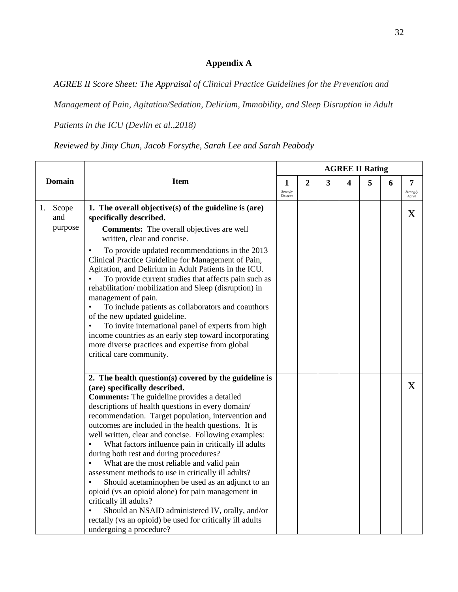# **Appendix A**

*AGREE II Score Sheet: The Appraisal of Clinical Practice Guidelines for the Prevention and* 

*Management of Pain, Agitation/Sedation, Delirium, Immobility, and Sleep Disruption in Adult* 

*Patients in the ICU (Devlin et al.,2018)*

*Reviewed by Jimy Chun, Jacob Forsythe, Sarah Lee and Sarah Peabody*

|                               |                                                                                                                                                                                                                                                                                                                                                                                                                                                                                                                                                                                                                                                                                                                                                                                                                                                                             |                           |                |   | <b>AGREE II Rating</b> |   |   |                        |
|-------------------------------|-----------------------------------------------------------------------------------------------------------------------------------------------------------------------------------------------------------------------------------------------------------------------------------------------------------------------------------------------------------------------------------------------------------------------------------------------------------------------------------------------------------------------------------------------------------------------------------------------------------------------------------------------------------------------------------------------------------------------------------------------------------------------------------------------------------------------------------------------------------------------------|---------------------------|----------------|---|------------------------|---|---|------------------------|
| <b>Domain</b>                 | <b>Item</b>                                                                                                                                                                                                                                                                                                                                                                                                                                                                                                                                                                                                                                                                                                                                                                                                                                                                 | 1<br>Strongly<br>Disagree | $\overline{2}$ | 3 | 4                      | 5 | 6 | 7<br>Strongly<br>Agree |
| Scope<br>1.<br>and<br>purpose | 1. The overall objective(s) of the guideline is $(\text{are})$<br>specifically described.<br><b>Comments:</b> The overall objectives are well<br>written, clear and concise.<br>To provide updated recommendations in the 2013<br>٠<br>Clinical Practice Guideline for Management of Pain,<br>Agitation, and Delirium in Adult Patients in the ICU.<br>To provide current studies that affects pain such as<br>rehabilitation/mobilization and Sleep (disruption) in<br>management of pain.<br>To include patients as collaborators and coauthors<br>of the new updated guideline.<br>To invite international panel of experts from high<br>income countries as an early step toward incorporating<br>more diverse practices and expertise from global<br>critical care community.                                                                                          |                           |                |   |                        |   |   | X                      |
|                               | 2. The health question(s) covered by the guideline is<br>(are) specifically described.<br><b>Comments:</b> The guideline provides a detailed<br>descriptions of health questions in every domain/<br>recommendation. Target population, intervention and<br>outcomes are included in the health questions. It is<br>well written, clear and concise. Following examples:<br>What factors influence pain in critically ill adults<br>during both rest and during procedures?<br>What are the most reliable and valid pain<br>assessment methods to use in critically ill adults?<br>Should acetaminophen be used as an adjunct to an<br>$\bullet$<br>opioid (vs an opioid alone) for pain management in<br>critically ill adults?<br>Should an NSAID administered IV, orally, and/or<br>rectally (vs an opioid) be used for critically ill adults<br>undergoing a procedure? |                           |                |   |                        |   |   | $\mathbf{X}$           |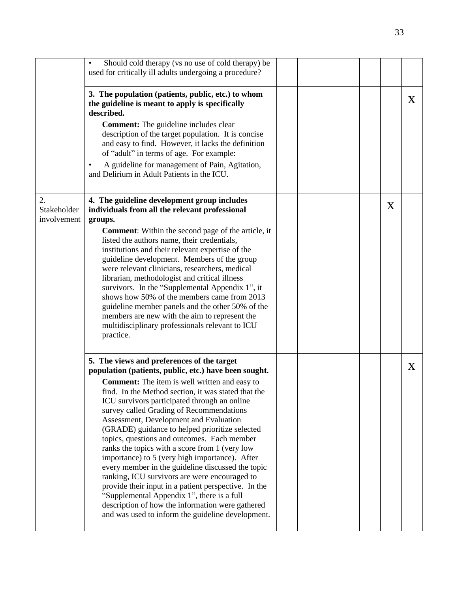|                                  | Should cold therapy (vs no use of cold therapy) be<br>used for critically ill adults undergoing a procedure?                                                                                                                                                                                                                                                                                                                                                                                                                                                                                                                                                                                                                                                                                                                                                                       |  |  |   |   |
|----------------------------------|------------------------------------------------------------------------------------------------------------------------------------------------------------------------------------------------------------------------------------------------------------------------------------------------------------------------------------------------------------------------------------------------------------------------------------------------------------------------------------------------------------------------------------------------------------------------------------------------------------------------------------------------------------------------------------------------------------------------------------------------------------------------------------------------------------------------------------------------------------------------------------|--|--|---|---|
|                                  | 3. The population (patients, public, etc.) to whom<br>the guideline is meant to apply is specifically<br>described.<br><b>Comment:</b> The guideline includes clear<br>description of the target population. It is concise<br>and easy to find. However, it lacks the definition<br>of "adult" in terms of age. For example:<br>A guideline for management of Pain, Agitation,<br>$\bullet$<br>and Delirium in Adult Patients in the ICU.                                                                                                                                                                                                                                                                                                                                                                                                                                          |  |  |   | X |
| 2.<br>Stakeholder<br>involvement | 4. The guideline development group includes<br>individuals from all the relevant professional<br>groups.<br><b>Comment:</b> Within the second page of the article, it<br>listed the authors name, their credentials,<br>institutions and their relevant expertise of the<br>guideline development. Members of the group<br>were relevant clinicians, researchers, medical<br>librarian, methodologist and critical illness<br>survivors. In the "Supplemental Appendix 1", it<br>shows how 50% of the members came from 2013<br>guideline member panels and the other 50% of the<br>members are new with the aim to represent the<br>multidisciplinary professionals relevant to ICU<br>practice.                                                                                                                                                                                  |  |  | X |   |
|                                  | 5. The views and preferences of the target<br>population (patients, public, etc.) have been sought.<br><b>Comment:</b> The item is well written and easy to<br>find. In the Method section, it was stated that the<br>ICU survivors participated through an online<br>survey called Grading of Recommendations<br>Assessment, Development and Evaluation<br>(GRADE) guidance to helped prioritize selected<br>topics, questions and outcomes. Each member<br>ranks the topics with a score from 1 (very low<br>importance) to 5 (very high importance). After<br>every member in the guideline discussed the topic<br>ranking, ICU survivors are were encouraged to<br>provide their input in a patient perspective. In the<br>"Supplemental Appendix 1", there is a full<br>description of how the information were gathered<br>and was used to inform the guideline development. |  |  |   | X |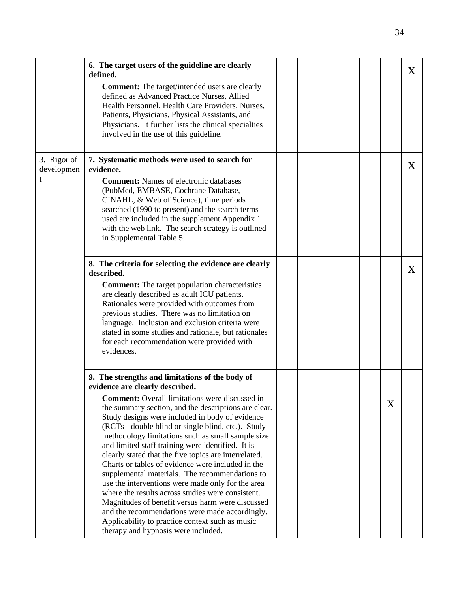|                                | 6. The target users of the guideline are clearly<br>defined.<br><b>Comment:</b> The target/intended users are clearly<br>defined as Advanced Practice Nurses, Allied<br>Health Personnel, Health Care Providers, Nurses,<br>Patients, Physicians, Physical Assistants, and<br>Physicians. It further lists the clinical specialties<br>involved in the use of this guideline.                                                                                                                                                                                                                                                                                                                                                                                                                                                                                                                    |  |  |   | $\bf{X}$     |
|--------------------------------|--------------------------------------------------------------------------------------------------------------------------------------------------------------------------------------------------------------------------------------------------------------------------------------------------------------------------------------------------------------------------------------------------------------------------------------------------------------------------------------------------------------------------------------------------------------------------------------------------------------------------------------------------------------------------------------------------------------------------------------------------------------------------------------------------------------------------------------------------------------------------------------------------|--|--|---|--------------|
| 3. Rigor of<br>developmen<br>t | 7. Systematic methods were used to search for<br>evidence.<br><b>Comment:</b> Names of electronic databases<br>(PubMed, EMBASE, Cochrane Database,<br>CINAHL, & Web of Science), time periods<br>searched (1990 to present) and the search terms<br>used are included in the supplement Appendix 1<br>with the web link. The search strategy is outlined<br>in Supplemental Table 5.                                                                                                                                                                                                                                                                                                                                                                                                                                                                                                             |  |  |   | X            |
|                                | 8. The criteria for selecting the evidence are clearly<br>described.<br><b>Comment:</b> The target population characteristics<br>are clearly described as adult ICU patients.<br>Rationales were provided with outcomes from<br>previous studies. There was no limitation on<br>language. Inclusion and exclusion criteria were<br>stated in some studies and rationale, but rationales<br>for each recommendation were provided with<br>evidences.                                                                                                                                                                                                                                                                                                                                                                                                                                              |  |  |   | $\mathbf{X}$ |
|                                | 9. The strengths and limitations of the body of<br>evidence are clearly described.<br><b>Comment:</b> Overall limitations were discussed in<br>the summary section, and the descriptions are clear.<br>Study designs were included in body of evidence<br>(RCTs - double blind or single blind, etc.). Study<br>methodology limitations such as small sample size<br>and limited staff training were identified. It is<br>clearly stated that the five topics are interrelated.<br>Charts or tables of evidence were included in the<br>supplemental materials. The recommendations to<br>use the interventions were made only for the area<br>where the results across studies were consistent.<br>Magnitudes of benefit versus harm were discussed<br>and the recommendations were made accordingly.<br>Applicability to practice context such as music<br>therapy and hypnosis were included. |  |  | X |              |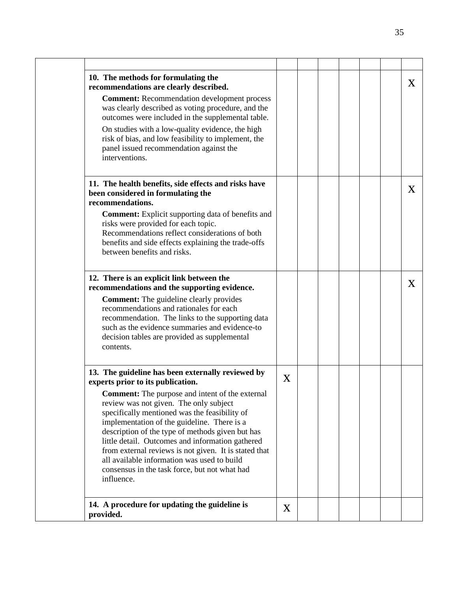| 10. The methods for formulating the<br>recommendations are clearly described.                                                                                                                                                                                                                                                                                                                                                                                                   |   |  |  | X        |
|---------------------------------------------------------------------------------------------------------------------------------------------------------------------------------------------------------------------------------------------------------------------------------------------------------------------------------------------------------------------------------------------------------------------------------------------------------------------------------|---|--|--|----------|
| <b>Comment:</b> Recommendation development process<br>was clearly described as voting procedure, and the<br>outcomes were included in the supplemental table.                                                                                                                                                                                                                                                                                                                   |   |  |  |          |
| On studies with a low-quality evidence, the high<br>risk of bias, and low feasibility to implement, the<br>panel issued recommendation against the<br>interventions.                                                                                                                                                                                                                                                                                                            |   |  |  |          |
| 11. The health benefits, side effects and risks have<br>been considered in formulating the<br>recommendations.                                                                                                                                                                                                                                                                                                                                                                  |   |  |  | $\bf{X}$ |
| <b>Comment:</b> Explicit supporting data of benefits and<br>risks were provided for each topic.<br>Recommendations reflect considerations of both<br>benefits and side effects explaining the trade-offs<br>between benefits and risks.                                                                                                                                                                                                                                         |   |  |  |          |
| 12. There is an explicit link between the<br>recommendations and the supporting evidence.                                                                                                                                                                                                                                                                                                                                                                                       |   |  |  | X        |
| <b>Comment:</b> The guideline clearly provides<br>recommendations and rationales for each<br>recommendation. The links to the supporting data<br>such as the evidence summaries and evidence-to<br>decision tables are provided as supplemental<br>contents.                                                                                                                                                                                                                    |   |  |  |          |
| 13. The guideline has been externally reviewed by<br>experts prior to its publication.                                                                                                                                                                                                                                                                                                                                                                                          | X |  |  |          |
| <b>Comment:</b> The purpose and intent of the external<br>review was not given. The only subject<br>specifically mentioned was the feasibility of<br>implementation of the guideline. There is a<br>description of the type of methods given but has<br>little detail. Outcomes and information gathered<br>from external reviews is not given. It is stated that<br>all available information was used to build<br>consensus in the task force, but not what had<br>influence. |   |  |  |          |
| 14. A procedure for updating the guideline is<br>provided.                                                                                                                                                                                                                                                                                                                                                                                                                      | X |  |  |          |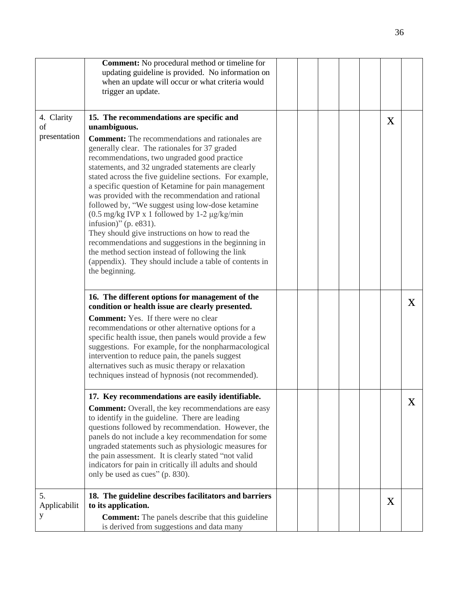|                                  | <b>Comment:</b> No procedural method or timeline for<br>updating guideline is provided. No information on<br>when an update will occur or what criteria would<br>trigger an update.                                                                                                                                                                                                                                                                                                                                                                                                                                                                                                                                                                                                                                                    |  |  |   |          |
|----------------------------------|----------------------------------------------------------------------------------------------------------------------------------------------------------------------------------------------------------------------------------------------------------------------------------------------------------------------------------------------------------------------------------------------------------------------------------------------------------------------------------------------------------------------------------------------------------------------------------------------------------------------------------------------------------------------------------------------------------------------------------------------------------------------------------------------------------------------------------------|--|--|---|----------|
| 4. Clarity<br>of<br>presentation | 15. The recommendations are specific and<br>unambiguous.<br><b>Comment:</b> The recommendations and rationales are<br>generally clear. The rationales for 37 graded<br>recommendations, two ungraded good practice<br>statements, and 32 ungraded statements are clearly<br>stated across the five guideline sections. For example,<br>a specific question of Ketamine for pain management<br>was provided with the recommendation and rational<br>followed by, "We suggest using low-dose ketamine<br>$(0.5 \text{ mg/kg}$ IVP x 1 followed by 1-2 $\mu$ g/kg/min<br>infusion)" (p. e831).<br>They should give instructions on how to read the<br>recommendations and suggestions in the beginning in<br>the method section instead of following the link<br>(appendix). They should include a table of contents in<br>the beginning. |  |  | X |          |
|                                  | 16. The different options for management of the<br>condition or health issue are clearly presented.<br><b>Comment:</b> Yes. If there were no clear<br>recommendations or other alternative options for a<br>specific health issue, then panels would provide a few<br>suggestions. For example, for the nonpharmacological<br>intervention to reduce pain, the panels suggest<br>alternatives such as music therapy or relaxation<br>techniques instead of hypnosis (not recommended).                                                                                                                                                                                                                                                                                                                                                 |  |  |   | $\bf{X}$ |
|                                  | 17. Key recommendations are easily identifiable.<br><b>Comment:</b> Overall, the key recommendations are easy<br>to identify in the guideline. There are leading<br>questions followed by recommendation. However, the<br>panels do not include a key recommendation for some<br>ungraded statements such as physiologic measures for<br>the pain assessment. It is clearly stated "not valid<br>indicators for pain in critically ill adults and should<br>only be used as cues" (p. 830).                                                                                                                                                                                                                                                                                                                                            |  |  |   | X        |
| 5.<br>Applicabilit<br>y          | 18. The guideline describes facilitators and barriers<br>to its application.<br><b>Comment:</b> The panels describe that this guideline<br>is derived from suggestions and data many                                                                                                                                                                                                                                                                                                                                                                                                                                                                                                                                                                                                                                                   |  |  | X |          |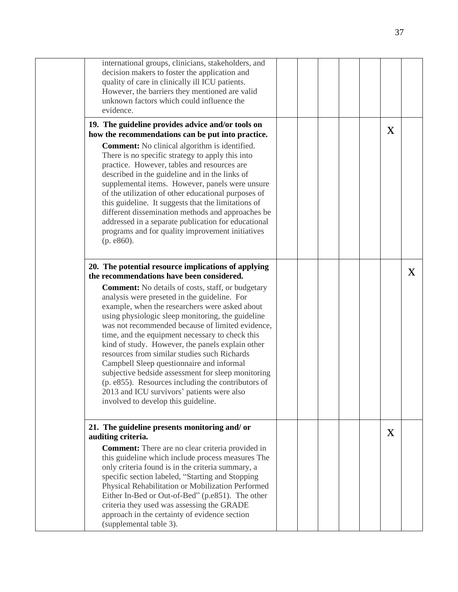| international groups, clinicians, stakeholders, and<br>decision makers to foster the application and<br>quality of care in clinically ill ICU patients.                                                                                                                                                                                                                                                                                                                                                                                                                                                                                                                  |  |  |   |              |
|--------------------------------------------------------------------------------------------------------------------------------------------------------------------------------------------------------------------------------------------------------------------------------------------------------------------------------------------------------------------------------------------------------------------------------------------------------------------------------------------------------------------------------------------------------------------------------------------------------------------------------------------------------------------------|--|--|---|--------------|
| However, the barriers they mentioned are valid<br>unknown factors which could influence the<br>evidence.                                                                                                                                                                                                                                                                                                                                                                                                                                                                                                                                                                 |  |  |   |              |
| 19. The guideline provides advice and/or tools on<br>how the recommendations can be put into practice.                                                                                                                                                                                                                                                                                                                                                                                                                                                                                                                                                                   |  |  | X |              |
| <b>Comment:</b> No clinical algorithm is identified.<br>There is no specific strategy to apply this into<br>practice. However, tables and resources are<br>described in the guideline and in the links of<br>supplemental items. However, panels were unsure<br>of the utilization of other educational purposes of<br>this guideline. It suggests that the limitations of<br>different dissemination methods and approaches be<br>addressed in a separate publication for educational<br>programs and for quality improvement initiatives<br>(p. e860).                                                                                                                 |  |  |   |              |
| 20. The potential resource implications of applying<br>the recommendations have been considered.                                                                                                                                                                                                                                                                                                                                                                                                                                                                                                                                                                         |  |  |   | $\mathbf{X}$ |
| <b>Comment:</b> No details of costs, staff, or budgetary<br>analysis were preseted in the guideline. For<br>example, when the researchers were asked about<br>using physiologic sleep monitoring, the guideline<br>was not recommended because of limited evidence,<br>time, and the equipment necessary to check this<br>kind of study. However, the panels explain other<br>resources from similar studies such Richards<br>Campbell Sleep questionnaire and informal<br>subjective bedside assessment for sleep monitoring<br>(p. e855). Resources including the contributors of<br>2013 and ICU survivors' patients were also<br>involved to develop this guideline. |  |  |   |              |
| 21. The guideline presents monitoring and/or<br>auditing criteria.                                                                                                                                                                                                                                                                                                                                                                                                                                                                                                                                                                                                       |  |  | X |              |
| <b>Comment:</b> There are no clear criteria provided in<br>this guideline which include process measures The<br>only criteria found is in the criteria summary, a<br>specific section labeled, "Starting and Stopping<br>Physical Rehabilitation or Mobilization Performed<br>Either In-Bed or Out-of-Bed" (p.e851). The other<br>criteria they used was assessing the GRADE<br>approach in the certainty of evidence section<br>(supplemental table 3).                                                                                                                                                                                                                 |  |  |   |              |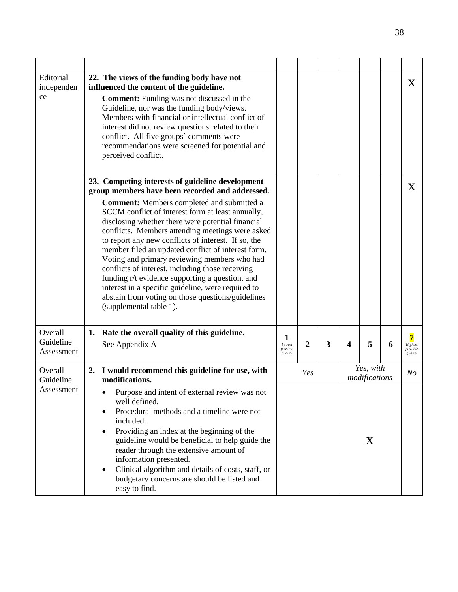| Editorial<br>independen<br>ce      | 22. The views of the funding body have not<br>influenced the content of the guideline.<br><b>Comment:</b> Funding was not discussed in the<br>Guideline, nor was the funding body/views.<br>Members with financial or intellectual conflict of<br>interest did not review questions related to their<br>conflict. All five groups' comments were<br>recommendations were screened for potential and<br>perceived conflict.                                                                                                                                                                                                                                                   |                                    |                |   |   |                            |   | X                                   |
|------------------------------------|------------------------------------------------------------------------------------------------------------------------------------------------------------------------------------------------------------------------------------------------------------------------------------------------------------------------------------------------------------------------------------------------------------------------------------------------------------------------------------------------------------------------------------------------------------------------------------------------------------------------------------------------------------------------------|------------------------------------|----------------|---|---|----------------------------|---|-------------------------------------|
|                                    | 23. Competing interests of guideline development                                                                                                                                                                                                                                                                                                                                                                                                                                                                                                                                                                                                                             |                                    |                |   |   |                            |   | X                                   |
|                                    | group members have been recorded and addressed.<br><b>Comment:</b> Members completed and submitted a<br>SCCM conflict of interest form at least annually,<br>disclosing whether there were potential financial<br>conflicts. Members attending meetings were asked<br>to report any new conflicts of interest. If so, the<br>member filed an updated conflict of interest form.<br>Voting and primary reviewing members who had<br>conflicts of interest, including those receiving<br>funding r/t evidence supporting a question, and<br>interest in a specific guideline, were required to<br>abstain from voting on those questions/guidelines<br>(supplemental table 1). |                                    |                |   |   |                            |   |                                     |
| Overall<br>Guideline<br>Assessment | Rate the overall quality of this guideline.<br>1.<br>See Appendix A                                                                                                                                                                                                                                                                                                                                                                                                                                                                                                                                                                                                          | 1<br>Lowest<br>possible<br>quality | $\overline{c}$ | 3 | 4 | 5                          | 6 | 7<br>Highest<br>possible<br>quality |
| Overall<br>Guideline               | 2. I would recommend this guideline for use, with<br>modifications.                                                                                                                                                                                                                                                                                                                                                                                                                                                                                                                                                                                                          |                                    | Yes            |   |   | Yes, with<br>modifications |   | N <sub>O</sub>                      |
| Assessment                         | Purpose and intent of external review was not<br>well defined.<br>Procedural methods and a timeline were not<br>$\bullet$<br>included.<br>Providing an index at the beginning of the<br>$\bullet$<br>guideline would be beneficial to help guide the<br>reader through the extensive amount of<br>information presented.<br>Clinical algorithm and details of costs, staff, or<br>$\bullet$<br>budgetary concerns are should be listed and<br>easy to find.                                                                                                                                                                                                                  |                                    |                |   |   | X                          |   |                                     |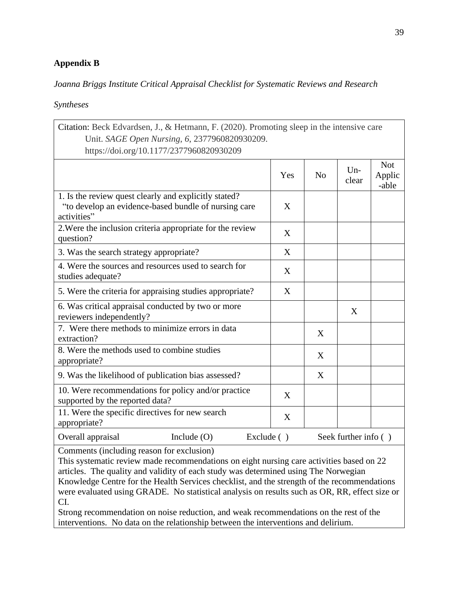## **Appendix B**

## *Joanna Briggs Institute Critical Appraisal Checklist for Systematic Reviews and Research*

### *Syntheses*

| Citation: Beck Edvardsen, J., & Hetmann, F. (2020). Promoting sleep in the intensive care                                    |               |     |                |                      |                               |
|------------------------------------------------------------------------------------------------------------------------------|---------------|-----|----------------|----------------------|-------------------------------|
| Unit. SAGE Open Nursing, 6, 2377960820930209.<br>https://doi.org/10.1177/2377960820930209                                    |               |     |                |                      |                               |
|                                                                                                                              |               | Yes | N <sub>o</sub> | $Un-$<br>clear       | <b>Not</b><br>Applic<br>-able |
| 1. Is the review quest clearly and explicitly stated?<br>"to develop an evidence-based bundle of nursing care<br>activities" |               | X   |                |                      |                               |
| 2. Were the inclusion criteria appropriate for the review<br>question?                                                       |               | X   |                |                      |                               |
| 3. Was the search strategy appropriate?                                                                                      |               | X   |                |                      |                               |
| 4. Were the sources and resources used to search for<br>studies adequate?                                                    |               | X   |                |                      |                               |
| 5. Were the criteria for appraising studies appropriate?                                                                     |               | X   |                |                      |                               |
| 6. Was critical appraisal conducted by two or more<br>reviewers independently?                                               |               |     |                | X                    |                               |
| 7. Were there methods to minimize errors in data<br>extraction?                                                              |               |     | X              |                      |                               |
| 8. Were the methods used to combine studies<br>appropriate?                                                                  |               |     | X              |                      |                               |
| 9. Was the likelihood of publication bias assessed?                                                                          |               |     | X              |                      |                               |
| 10. Were recommendations for policy and/or practice<br>supported by the reported data?                                       |               | X   |                |                      |                               |
| 11. Were the specific directives for new search<br>appropriate?                                                              |               | X   |                |                      |                               |
| Overall appraisal<br>Include $(O)$                                                                                           | Exclude $( )$ |     |                | Seek further info () |                               |

Comments (including reason for exclusion)

This systematic review made recommendations on eight nursing care activities based on 22 articles. The quality and validity of each study was determined using The Norwegian Knowledge Centre for the Health Services checklist, and the strength of the recommendations were evaluated using GRADE. No statistical analysis on results such as OR, RR, effect size or CI.

Strong recommendation on noise reduction, and weak recommendations on the rest of the interventions. No data on the relationship between the interventions and delirium.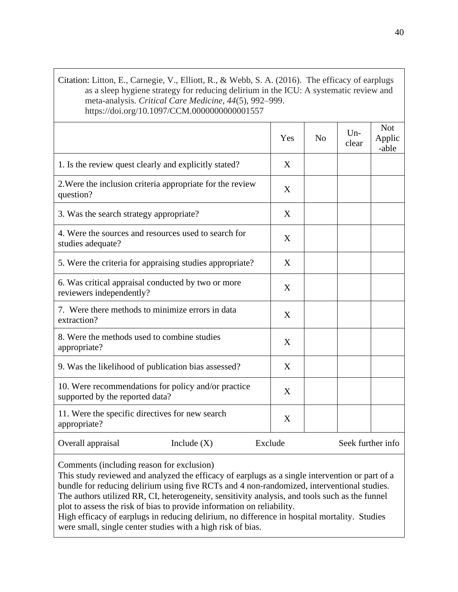## Citation: Litton, E., Carnegie, V., Elliott, R., & Webb, S. A. (2016). The efficacy of earplugs as a sleep hygiene strategy for reducing delirium in the ICU: A systematic review and meta-analysis. *Critical Care Medicine*, *44*(5), 992–999. https://doi.org/10.1097/CCM.0000000000001557

|                                                                                        | Yes     | No | $Un-$<br>clear    | <b>Not</b><br>Applic<br>-able |
|----------------------------------------------------------------------------------------|---------|----|-------------------|-------------------------------|
| 1. Is the review quest clearly and explicitly stated?                                  | X       |    |                   |                               |
| 2. Were the inclusion criteria appropriate for the review<br>question?                 | X       |    |                   |                               |
| 3. Was the search strategy appropriate?                                                | X       |    |                   |                               |
| 4. Were the sources and resources used to search for<br>studies adequate?              | X       |    |                   |                               |
| 5. Were the criteria for appraising studies appropriate?                               | X       |    |                   |                               |
| 6. Was critical appraisal conducted by two or more<br>reviewers independently?         | X       |    |                   |                               |
| 7. Were there methods to minimize errors in data<br>extraction?                        | X       |    |                   |                               |
| 8. Were the methods used to combine studies<br>appropriate?                            | X       |    |                   |                               |
| 9. Was the likelihood of publication bias assessed?                                    | X       |    |                   |                               |
| 10. Were recommendations for policy and/or practice<br>supported by the reported data? | X       |    |                   |                               |
| 11. Were the specific directives for new search<br>appropriate?                        | X       |    |                   |                               |
| Overall appraisal<br>Include $(X)$                                                     | Exclude |    | Seek further info |                               |

Comments (including reason for exclusion)

This study reviewed and analyzed the efficacy of earplugs as a single intervention or part of a bundle for reducing delirium using five RCTs and 4 non-randomized, interventional studies. The authors utilized RR, CI, heterogeneity, sensitivity analysis, and tools such as the funnel plot to assess the risk of bias to provide information on reliability.

High efficacy of earplugs in reducing delirium, no difference in hospital mortality. Studies were small, single center studies with a high risk of bias.